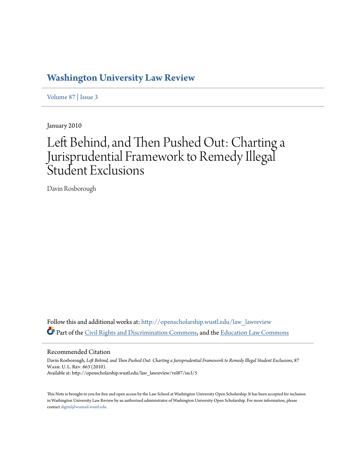# **[Washington University Law Review](http://openscholarship.wustl.edu/law_lawreview?utm_source=openscholarship.wustl.edu%2Flaw_lawreview%2Fvol87%2Fiss3%2F5&utm_medium=PDF&utm_campaign=PDFCoverPages)**

[Volume 87](http://openscholarship.wustl.edu/law_lawreview/vol87?utm_source=openscholarship.wustl.edu%2Flaw_lawreview%2Fvol87%2Fiss3%2F5&utm_medium=PDF&utm_campaign=PDFCoverPages) | [Issue 3](http://openscholarship.wustl.edu/law_lawreview/vol87/iss3?utm_source=openscholarship.wustl.edu%2Flaw_lawreview%2Fvol87%2Fiss3%2F5&utm_medium=PDF&utm_campaign=PDFCoverPages)

January 2010

# Left Behind, and Then Pushed Out: Charting a Jurisprudential Framework to Remedy Illegal Student Exclusions

Davin Rosborough

Follow this and additional works at: [http://openscholarship.wustl.edu/law\\_lawreview](http://openscholarship.wustl.edu/law_lawreview?utm_source=openscholarship.wustl.edu%2Flaw_lawreview%2Fvol87%2Fiss3%2F5&utm_medium=PDF&utm_campaign=PDFCoverPages) Part of the [Civil Rights and Discrimination Commons,](http://network.bepress.com/hgg/discipline/585?utm_source=openscholarship.wustl.edu%2Flaw_lawreview%2Fvol87%2Fiss3%2F5&utm_medium=PDF&utm_campaign=PDFCoverPages) and the [Education Law Commons](http://network.bepress.com/hgg/discipline/596?utm_source=openscholarship.wustl.edu%2Flaw_lawreview%2Fvol87%2Fiss3%2F5&utm_medium=PDF&utm_campaign=PDFCoverPages)

# Recommended Citation

Davin Rosborough, *Left Behind, and Then Pushed Out: Charting a Jurisprudential Framework to Remedy Illegal Student Exclusions*, 87 Wash. U. L. Rev. 663 (2010). Available at: http://openscholarship.wustl.edu/law\_lawreview/vol87/iss3/5

This Note is brought to you for free and open access by the Law School at Washington University Open Scholarship. It has been accepted for inclusion in Washington University Law Review by an authorized administrator of Washington University Open Scholarship. For more information, please contact [digital@wumail.wustl.edu.](mailto:digital@wumail.wustl.edu)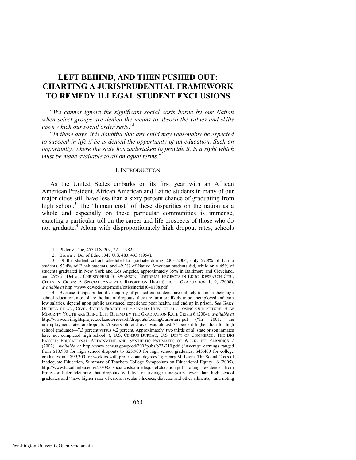# **LEFT BEHIND, AND THEN PUSHED OUT: CHARTING A JURISPRUDENTIAL FRAMEWORK TO REMEDY ILLEGAL STUDENT EXCLUSIONS**

―*We cannot ignore the significant social costs borne by our Nation when select groups are denied the means to absorb the values and skills upon which our social order rests.*"<sup>1</sup>

―*In these days, it is doubtful that any child may reasonably be expected*  to succeed in life if he is denied the opportunity of an education. Such an *opportunity, where the state has undertaken to provide it, is a right which must be made available to all on equal terms.*"<sup>2</sup>

#### I. INTRODUCTION

As the United States embarks on its first year with an African American President, African American and Latino students in many of our major cities still have less than a sixty percent chance of graduating from high school.<sup>3</sup> The "human cost" of these disparities on the nation as a whole and especially on these particular communities is immense, exacting a particular toll on the career and life prospects of those who do not graduate.<sup>4</sup> Along with disproportionately high dropout rates, schools

4. Because it appears that the majority of pushed out students are unlikely to finish their high school education, most share the fate of dropouts: they are far more likely to be unemployed and earn low salaries, depend upon public assistance, experience poor health, and end up in prison. *See* GARY ORFIELD ET AL., CIVIL RIGHTS PROJECT AT HARVARD UNIV. ET AL., LOSING OUR FUTURE: HOW MINORITY YOUTH ARE BEING LEFT BEHIND BY THE GRADUATION RATE CRISIS 6 (2004), *available at* http://www.civilrightsproject.ucla.edu/research/dropouts/LosingOurFuture.pdf ("In 2001, the unemployment rate for dropouts 25 years old and over was almost 75 percent higher than for high school graduates—7.3 percent versus 4.2 percent. Approximately, two thirds of all state prison inmates have not completed high school."); U.S. CENSUS BUREAU, U.S. DEP'T OF COMMERCE, THE BIG PAYOFF: EDUCATIONAL ATTAINMENT AND SYNTHETIC ESTIMATES OF WORK-LIFE EARNINGS 2 (2002), *available at* http://www.census.gov/prod/2002pubs/p23-210.pdf ("Average earnings ranged from \$18,900 for high school dropouts to \$25,900 for high school graduates, \$45,400 for college graduates, and \$99,300 for workers with professional degrees."); Henry M. Levin, The Social Costs of Inadequate Education, Summary of Teachers College Symposium on Educational Equity 16 (2005), http://www.tc.columbia.edu/i/a/3082\_socialcostsofinadequateEducation.pdf (citing evidence from Professor Peter Meunnig that dropouts will live on average nine-years fewer than high school graduates and "have higher rates of cardiovascular illnesses, diabetes and other ailments," and noting

<span id="page-1-0"></span><sup>1.</sup> Plyler v. Doe, 457 U.S. 202, 221 (1982).

<sup>2.</sup> Brown v. Bd. of Educ., 347 U.S. 483, 493 (1954).

<sup>3.</sup> Of the student cohort scheduled to graduate during 2003–2004, only 57.8% of Latino students, 53.4% of Black students, and 49.3% of Native American students did, while only 45% of students graduated in New York and Los Angeles, approximately 35% in Baltimore and Cleveland, and 25% in Detroit. CHRISTOPHER B. SWANSON, EDITORIAL PROJECTS IN EDUC. RESEARCH CTR., CITIES IN CRISIS: A SPECIAL ANALYTIC REPORT ON HIGH SCHOOL GRADUATION 1, 9, (2008), *available at* http://www.edweek.org/media/citiesincrisis040108.pdf.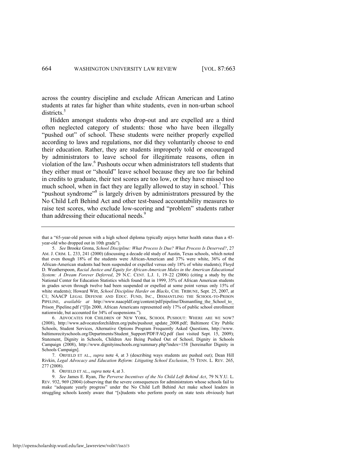across the country discipline and exclude African American and Latino students at rates far higher than white students, even in non-urban school districts.<sup>5</sup>

<span id="page-2-1"></span>Hidden amongst students who drop-out and are expelled are a third often neglected category of students: those who have been illegally "pushed out" of school. These students were neither properly expelled according to laws and regulations, nor did they voluntarily choose to end their education. Rather, they are students improperly told or encouraged by administrators to leave school for illegitimate reasons, often in violation of the law.<sup>6</sup> Pushouts occur when administrators tell students that they either must or "should" leave school because they are too far behind in credits to graduate, their test scores are too low, or they have missed too much school, when in fact they are legally allowed to stay in school.<sup>7</sup> This "pushout syndrome"<sup>8</sup> is largely driven by administrators pressured by the No Child Left Behind Act and other test-based accountability measures to raise test scores, who exclude low-scoring and "problem" students rather than addressing their educational needs.<sup>9</sup>

<span id="page-2-2"></span><span id="page-2-0"></span>that a "65-year-old person with a high school diploma typically enjoys better health status than a 45year-old who dropped out in 10th grade").

<sup>5.</sup> *See* Brooke Grona, *School Discipline: What Process Is Due? What Process Is Deserved?*, 27 AM. J. CRIM. L. 233, 241 (2000) (discussing a decade old study of Austin, Texas schools, which noted that even though 18% of the students were African-American and 37% were white, 36% of the African-American students had been suspended or expelled versus only 18% of white students); Floyd D. Weatherspoon, *Racial Justice and Equity for African-American Males in the American Educational System: A Dream Forever Deferred*, 29 N.C. CENT. L.J. 1, 19–22 (2006) (citing a study by the National Center for Education Statistics which found that in 1999, 35% of African American students in grades seven through twelve had been suspended or expelled at some point versus only 15% of white students); Howard Witt, *School Discipline Harder on Blacks*, CHI. TRIBUNE, Sept. 25, 2007, at C1; NAACP LEGAL DEFENSE AND EDUC. FUND, INC., DISMANTLING THE SCHOOL-TO-PRISON PIPELINE, *available at* http://www.naacpldf.org/content/pdf/pipeline/Dismantling the School to Prison\_Pipeline.pdf ("[I]n 2000, African Americans represented only 17% of public school enrollment nationwide, but accounted for 34% of suspensions.").

<sup>6.</sup> ADVOCATES FOR CHILDREN OF NEW YORK, SCHOOL PUSHOUT: WHERE ARE WE NOW? (2008), http://www.advocatesforchildren.org/pubs/pushout\_update\_2008.pdf; Baltimore City Public Schools, Student Services, Alternative Options Program Frequently Asked Questions, http://www. baltimorecityschools.org/Departments/Student\_Support/PDF/FAQ.pdf (last visited Sept. 15, 2009); Statement, Dignity in Schools, Children Are Being Pushed Out of School, Dignity in Schools Campaign (2008), http://www.dignityinschools.org/summary.php?index=158 [hereinafter Dignity in Schools Campaign].

<sup>7.</sup> ORFIELD ET AL., *supra* note [4,](#page-1-0) at 3 (describing ways students are pushed out); Dean Hill Rivkin, *Legal Advocacy and Education Reform: Litigating School Exclusion*, 75 TENN. L. REV. 265, 277 (2008).

<sup>8.</sup> ORFIELD ET AL., *supra* not[e 4,](#page-1-0) at 3.

<sup>9.</sup> *See* James E. Ryan, *The Perverse Incentives of the No Child Left Behind Act*, 79 N.Y.U. L. REV. 932, 969 (2004) (observing that the severe consequences for administrators whose schools fail to make "adequate yearly progress" under the No Child Left Behind Act make school leaders in struggling schools keenly aware that "[s]tudents who perform poorly on state tests obviously hurt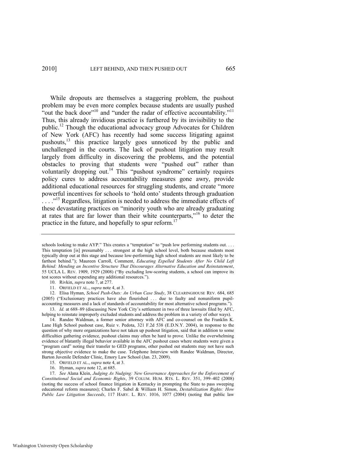<span id="page-3-2"></span><span id="page-3-0"></span>While dropouts are themselves a staggering problem, the pushout problem may be even more complex because students are usually pushed "out the back door"<sup>10</sup> and "under the radar of effective accountability."<sup>11</sup> Thus, this already invidious practice is furthered by its invisibility to the public.<sup>12</sup> Though the educational advocacy group Advocates for Children of New York (AFC) has recently had some success litigating against pushouts,<sup>13</sup> this practice largely goes unnoticed by the public and unchallenged in the courts. The lack of pushout litigation may result largely from difficulty in discovering the problems, and the potential obstacles to proving that students were "pushed out" rather than voluntarily dropping out.<sup>14</sup> This "pushout syndrome" certainly requires policy cures to address accountability measures gone awry, provide additional educational resources for struggling students, and create "more powerful incentives for schools to ‗hold onto' students through graduation  $\ldots$ <sup>15</sup> Regardless, litigation is needed to address the immediate effects of these devastating practices on "minority youth who are already graduating at rates that are far lower than their white counterparts,"<sup>16</sup> to deter the practice in the future, and hopefully to spur reform.<sup>17</sup>

10. Rivkin, *supra* not[e 7,](#page-2-0) at 277.

12. Elisa Hyman, *School Push-Outs: An Urban Case Study*, 38 CLEARINGHOUSE REV. 684, 685 (2005) ("Exclusionary practices have also flourished ... due to faulty and nonuniform pupilaccounting measures and a lack of standards of accountability for most alternative school programs.").

13. *Id.* at 688–89 (discussing New York City's settlement in two of three lawsuits filed by AFC, helping to reinstate improperly excluded students and address the problem in a variety of other ways).

14. Randee Waldman, a former senior attorney with AFC and co-counsel on the Franklin K. Lane High School pushout case, Ruiz v. Pedota, 321 F.2d 538 (E.D.N.Y. 2004), in response to the question of why more organizations have not taken up pushout litigation, said that in addition to some difficulties gathering evidence, pushout claims may often be hard to prove. Unlike the overwhelming evidence of blatantly illegal behavior available in the AFC pushout cases where students were given a "program card" noting their transfer to GED programs, other pushed out students may not have such strong objective evidence to make the case. Telephone Interview with Randee Waldman, Director, Barton Juvenile Defender Clinic, Emory Law School (Jan. 23, 2009).

15. ORFIELD ET AL., *supra* not[e 4,](#page-1-0) at 3.

16. Hyman, *supra* note [12,](#page-3-0) at 685.

17. *See* Alana Klein, *Judging As Nudging: New Governance Approaches for the Enforcement of Constitutional Social and Economic Rights*, 39 COLUM. HUM. RTS. L. REV. 351, 399–402 (2008) (noting the success of school finance litigation in Kentucky in prompting the State to pass sweeping educational reform measures); Charles F. Sabel & William H. Simon, *Destabilization Rights: How Public Law Litigation Succeeds*, 117 HARV. L. REV. 1016, 1077 (2004) (noting that public law

<span id="page-3-1"></span>schools looking to make AYP." This creates a "temptation" to "push low performing students out. . . . This temptation [is] presumably . . . strongest at the high school level, both because students most typically drop out at this stage and because low-performing high school students are most likely to be farthest behind."); Maureen Carroll, Comment, *Educating Expelled Students After No Child Left Behind: Mending an Incentive Structure That Discourages Alternative Education and Reinstatement*, 55 UCLA L. REV. 1909, 1929 (2008) ("By excluding low-scoring students, a school can improve its test scores without expending any additional resources.").

<sup>11.</sup> ORFIELD ET AL., *supra* not[e 4,](#page-1-0) at 3.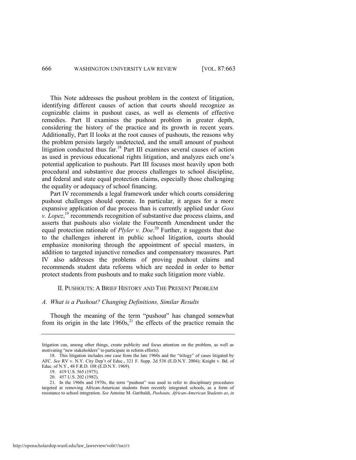This Note addresses the pushout problem in the context of litigation, identifying different causes of action that courts should recognize as cognizable claims in pushout cases, as well as elements of effective remedies. Part II examines the pushout problem in greater depth, considering the history of the practice and its growth in recent years. Additionally, Part II looks at the root causes of pushouts, the reasons why the problem persists largely undetected, and the small amount of pushout litigation conducted thus far.<sup>18</sup> Part III examines several causes of action as used in previous educational rights litigation, and analyzes each one's potential application to pushouts. Part III focuses most heavily upon both procedural and substantive due process challenges to school discipline, and federal and state equal protection claims, especially those challenging the equality or adequacy of school financing.

Part IV recommends a legal framework under which courts considering pushout challenges should operate. In particular, it argues for a more expansive application of due process than is currently applied under *Goss*   $\bar{L}$ *lopez*,<sup>19</sup> recommends recognition of substantive due process claims, and asserts that pushouts also violate the Fourteenth Amendment under the equal protection rationale of *Plyler v. Doe*. <sup>20</sup> Further, it suggests that due to the challenges inherent in public school litigation, courts should emphasize monitoring through the appointment of special masters, in addition to targeted injunctive remedies and compensatory measures. Part IV also addresses the problems of proving pushout claims and recommends student data reforms which are needed in order to better protect students from pushouts and to make such litigation more viable.

#### <span id="page-4-0"></span>II. PUSHOUTS: A BRIEF HISTORY AND THE PRESENT PROBLEM

# *A. What is a Pushout? Changing Definitions, Similar Results*

Though the meaning of the term "pushout" has changed somewhat from its origin in the late  $1960s$ ,<sup>21</sup>, the effects of the practice remain the

litigation can, among other things, create publicity and focus attention on the problem, as well as motivating "new stakeholders" to participate in reform efforts).

<sup>18.</sup> This litigation includes one case from the late 1960s and the "trilogy" of cases litigated by AFC. *See* RV v. N.Y. City Dep't of Educ., 321 F. Supp. 2d 538 (E.D.N.Y. 2004); Knight v. Bd. of Educ. of N.Y., 48 F.R.D. 108 (E.D.N.Y. 1969).

<sup>19. 419</sup> U.S. 565 (1975).

<sup>20. 457</sup> U.S. 202 (1982).

<sup>21.</sup> In the 1960s and 1970s, the term "pushout" was used to refer to disciplinary procedures targeted at removing African-American students from recently integrated schools, as a form of resistance to school integration. *See* Antoine M. Garibaldi, *Pushouts, African-American Students as*, *in*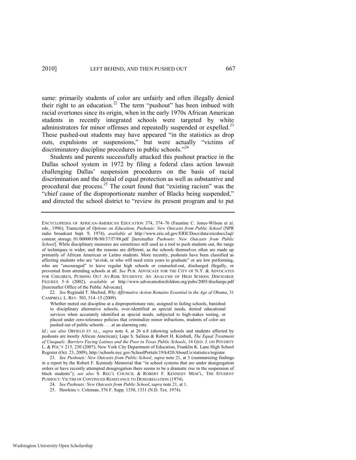<span id="page-5-0"></span>same: primarily students of color are unfairly and often illegally denied their right to an education.<sup>22</sup> The term "pushout" has been imbued with racial overtones since its origin, when in the early 1970s African American students in recently integrated schools were targeted by white administrators for minor offenses and repeatedly suspended or expelled.<sup>23</sup> These pushed-out students may have appeared "in the statistics as drop outs, expulsions or suspensions," but were actually "victims of discriminatory discipline procedures in public schools.<sup> $24$ </sup>

Students and parents successfully attacked this pushout practice in the Dallas school system in 1972 by filing a federal class action lawsuit challenging Dallas' suspension procedures on the basis of racial discrimination and the denial of equal protection as well as substantive and procedural due process.<sup>25</sup> The court found that "existing racism" was the "chief cause of the disproportionate number of Blacks being suspended," and directed the school district to "review its present program and to put

22. *See* Reginald T. Shuford, *Why Affirmative Action Remains Essential in the Age of Obama*, 31 CAMPBELL L. REV. 503, 514–15 (2009).

ENCYCLOPEDIA OF AFRICAN-AMERICAN EDUCATION 374, 374–76 (Faustine C. Jones-Wilson et al. eds., 1996); Transcript of *Options on Education, Pushouts: New Outcasts from Public School* (NPR radio broadcast Sept. 9, 1974), *available at* <http://www.eric.ed.gov/ERICDocs/data/ericdocs2sql/> content\_storage\_01/0000019b/80/37/f7/88.pdf [hereinafter *Pushouts: New Outcasts from Public School*]. While disciplinary measures are sometimes still used as a tool to push students out, the range of techniques is wider, and the reasons are different, as the schools themselves often are made up primarily of African American or Latino students. More recently, pushouts have been classified as affecting students who are "at-risk, or who will need extra years to graduate" or are low performing, who are "encouraged" to leave regular high schools or counseled-out, discharged illegally, or prevented from attending schools at all. *See* PUB. ADVOCATE FOR THE CITY OF N.Y. & ADVOCATES FOR CHILDREN, PUSHING OUT AT-RISK STUDENTS: AN ANALYSIS OF HIGH SCHOOL DISCHARGE FIGURES 5–6 (2002), *available at* http://www.advocatesforchildren.org/pubs/2005/discharge.pdf [hereinafter Office of the Public Advocate].

Whether meted out discipline at a disproportionate rate, assigned to failing schools, banished to disciplinary alternative schools, over-identified as special needs, denied educational services when accurately identified as special needs, subjected to high-stakes testing, or placed under zero-tolerance policies that criminalize minor infractions, students of color are pushed out of public schools . . . at an alarming rate.

*Id.*; *see also* ORFIELD ET AL., *supra* note [4,](#page-1-0) at 26 n.8 (showing schools and students affected by pushouts are mostly African American); Lupe S. Salinas & Robert H. Kimball, *The Equal Treatment of Unequals: Barriers Facing Latinos and the Poor in Texas Public Schools*, 14 GEO. J. ON POVERTY L. & POL'Y 215, 230 (2007); New York City Department of Education, Franklin K. Lane High School Register (Oct. 23, 2009), http://schools.nyc.gov/SchoolPortals/19/k420/AboutUs/statistics/register.

<sup>23.</sup> *See Pushouts: New Outcasts from Public School*, *supra* note [21,](#page-4-0) at 3 (summarizing findings in a report by the Robert F. Kennedy Memorial that "in school systems that are under desegregation orders or have recently attempted desegregation there seems to be a dramatic rise in the suspension of black students‖); *see also* S. REG'L COUNCIL & ROBERT F. KENNEDY MEM'L, THE STUDENT PUSHOUT: VICTIM OF CONTINUED RESISTANCE TO DESEGREGATION (1974).

<sup>24.</sup> *See Pushouts: New Outcasts from Public School*, *supra* not[e 21,](#page-4-0) at 1.

<sup>25.</sup> Hawkins v. Coleman, 376 F. Supp. 1330, 1331 (N.D. Tex. 1974).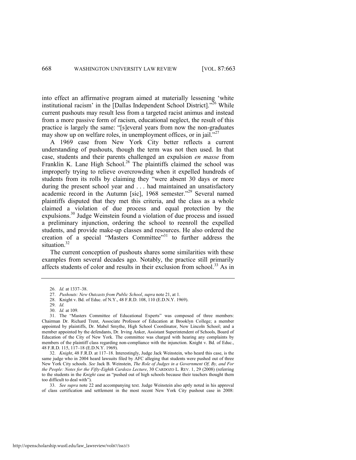into effect an affirmative program aimed at materially lessening 'white institutional racism' in the [Dallas Independent School District]. $^{26}$  While current pushouts may result less from a targeted racist animus and instead from a more passive form of racism, educational neglect, the result of this practice is largely the same: "[s]everal years from now the non-graduates may show up on welfare roles, in unemployment offices, or in jail.<sup> $27$ </sup>

A 1969 case from New York City better reflects a current understanding of pushouts, though the term was not then used. In that case, students and their parents challenged an expulsion *en masse* from Franklin K. Lane High School.<sup>28</sup> The plaintiffs claimed the school was improperly trying to relieve overcrowding when it expelled hundreds of students from its rolls by claiming they "were absent 30 days or more during the present school year and . . . had maintained an unsatisfactory academic record in the Autumn [sic], 1968 semester."<sup>29</sup> Several named plaintiffs disputed that they met this criteria, and the class as a whole claimed a violation of due process and equal protection by the expulsions.<sup>30</sup> Judge Weinstein found a violation of due process and issued a preliminary injunction, ordering the school to reenroll the expelled students, and provide make-up classes and resources. He also ordered the creation of a special "Masters Committee" $31$  to further address the situation.<sup>32</sup>

The current conception of pushouts shares some similarities with these examples from several decades ago. Notably, the practice still primarily affects students of color and results in their exclusion from school.<sup>33</sup> As in

<sup>26.</sup> *Id.* at 1337–38.

<sup>27.</sup> *Pushouts: New Outcasts from Public School*, *supra* not[e 21,](#page-4-0) at 1.

<sup>28.</sup> Knight v. Bd. of Educ. of N.Y., 48 F.R.D. 108, 110 (E.D.N.Y. 1969).

<sup>29.</sup> *Id.* 30. *Id.* at 109.

<sup>31.</sup> The "Masters Committee of Educational Experts" was composed of three members: Chairman Dr. Richard Trent, Associate Professor of Education at Brooklyn College; a member appointed by plaintiffs, Dr. Mabel Smythe, High School Coordinator, New Lincoln School; and a member appointed by the defendants, Dr. Irving Anker, Assistant Superintendent of Schools, Board of Education of the City of New York. The committee was charged with hearing any complaints by members of the plaintiff class regarding non-compliance with the injunction. Knight v. Bd. of Educ., 48 F.R.D. 115, 117–18 (E.D.N.Y. 1969).

<sup>32.</sup> *Knight*, 48 F.R.D. at 117–18. Interestingly, Judge Jack Weinstein, who heard this case, is the same judge who in 2004 heard lawsuits filed by AFC alleging that students were pushed out of three New York City schools. *See* Jack B. Weinstein, *The Role of Judges in a Government Of, By, and For the People: Notes for the Fifty-Eighth Cardozo Lecture*, 30 CARDOZO L. REV. 1, 29 (2008) (referring to the students in the *Knight* case as "pushed out of high schools because their teachers thought them too difficult to deal with").

<sup>33.</sup> *See supra* note [22](#page-5-0) and accompanying text. Judge Weinstein also aptly noted in his approval of class certification and settlement in the most recent New York City pushout case in 2008: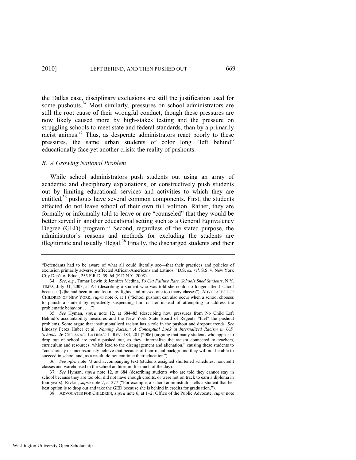<span id="page-7-0"></span>the Dallas case, disciplinary exclusions are still the justification used for some pushouts.<sup>34</sup> Most similarly, pressures on school administrators are still the root cause of their wrongful conduct, though these pressures are now likely caused more by high-stakes testing and the pressure on struggling schools to meet state and federal standards, than by a primarily racist animus.<sup>35</sup> Thus, as desperate administrators react poorly to these pressures, the same urban students of color long "left behind" educationally face yet another crisis: the reality of pushouts.

#### *B. A Growing National Problem*

While school administrators push students out using an array of academic and disciplinary explanations, or constructively push students out by limiting educational services and activities to which they are entitled,<sup>36</sup> pushouts have several common components. First, the students affected do not leave school of their own full volition. Rather, they are formally or informally told to leave or are "counseled" that they would be better served in another educational setting such as a General Equivalency Degree (GED) program.<sup>37</sup> Second, regardless of the stated purpose, the administrator's reasons and methods for excluding the students are illegitimate and usually illegal. $38$  Finally, the discharged students and their

<span id="page-7-1"></span><sup>―</sup>Defendants had to be aware of what all could literally see—that their practices and policies of exclusion primarily adversely affected African-Americans and Latinos.‖ D.S. *ex. rel.* S.S. v. New York City Dep't of Educ., 255 F.R.D. 59, 64 (E.D.N.Y. 2008).

<sup>34.</sup> *See, e.g.*, Tamar Lewin & Jennifer Medina, *To Cut Failure Rate, Schools Shed Students*, N.Y. TIMES, July 31, 2003, at A1 (describing a student who was told she could no longer attend school because "[s]he had been in one too many fights, and missed one too many classes"); ADVOCATES FOR CHILDREN OF NEW YORK, *supra* note [6,](#page-2-1) at 1 ("School pushout can also occur when a school chooses to punish a student by repeatedly suspending him or her instead of attempting to address the problematic behavior . . . .").

<sup>35.</sup> *See* Hyman, *supra* note [12,](#page-3-0) at 684–85 (describing how pressures from No Child Left Behind's accountability measures and the New York State Board of Regents "fuel" the pushout problem). Some argue that institutionalized racism has a role in the pushout and dropout trends. *See* Lindsay Perez Huber et al., *Naming Racism: A Conceptual Look at Internalized Racism in U.S. Schools*, 26 CHICANA/O-LATINA/O L. REV. 183, 201 (2006) (arguing that many students who appear to drop out of school are really pushed out, as they "internalize the racism connected to teachers, curriculum and resources, which lead to the disengagement and alienation," causing these students to ―consciously or unconsciously believe that because of their racial background they will not be able to succeed in school and, as a result, do not continue their education").

<sup>36.</sup> *See infra* note [73](#page-14-0) and accompanying text (students assigned shortened schedules, noncredit classes and warehoused in the school auditorium for much of the day).

<sup>37.</sup> *See* Hyman, *supra* note [12,](#page-3-0) at 684 (describing students who are told they cannot stay in school because they are too old, did not have enough credits, or were not on track to earn a diploma in four years); Rivkin, *supra* not[e 7,](#page-2-0) at 277 ("For example, a school administrator tells a student that her best option is to drop out and take the GED because she is behind in credits for graduation.").

<sup>38.</sup> ADVOCATES FOR CHILDREN, *supra* note [6,](#page-2-1) at 1–2; Office of the Public Advocate, *supra* note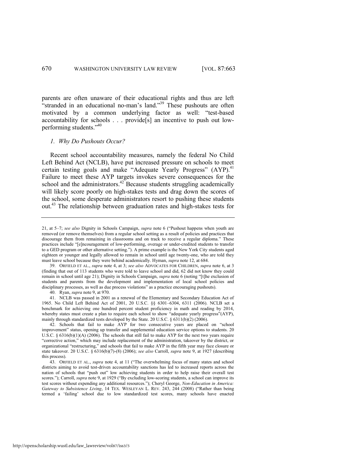parents are often unaware of their educational rights and thus are left "stranded in an educational no-man's land."<sup>39</sup> These pushouts are often motivated by a common underlying factor as well: "test-based" accountability for schools . . . provide[s] an incentive to push out lowperforming students."<sup>40</sup>

## *1. Why Do Pushouts Occur?*

Recent school accountability measures, namely the federal No Child Left Behind Act (NCLB), have put increased pressure on schools to meet certain testing goals and make "Adequate Yearly Progress"  $(AYP)$ .<sup>41</sup> Failure to meet these AYP targets invokes severe consequences for the school and the administrators.<sup>42</sup> Because students struggling academically will likely score poorly on high-stakes tests and drag down the scores of the school, some desperate administrators resort to pushing these students out.<sup>43</sup> The relationship between graduation rates and high-stakes tests for

40. Ryan, *supra* not[e 9,](#page-2-2) at 970.

41. NCLB was passed in 2001 as a renewal of the Elementary and Secondary Education Act of 1965. No Child Left Behind Act of 2001, 20 U.S.C. §§ 6301–6304, 6311 (2006). NCLB set a benchmark for achieving one hundred percent student proficiency in math and reading by 2014, whereby states must create a plan to require each school to show "adequate yearly progress"(AYP), mainly through standardized tests developed by the State. 20 U.S.C. § 6311(b)(2) (2006).

[<sup>21,</sup>](#page-4-0) at 5–7; see also Dignity in Schools Campaign, *supra* note [6](#page-2-1) ("Pushout happens when youth are removed (or remove themselves) from a regular school setting as a result of policies and practices that discourage them from remaining in classrooms and on track to receive a regular diploma." These practices include "[e]ncouragement of low-performing, overage or under-credited students to transfer to a GED program or other alternative setting."). A prime example is the New York City students aged eighteen or younger and legally allowed to remain in school until age twenty-one, who are told they must leave school because they were behind academically. Hyman, *supra* not[e 12,](#page-3-0) at 684.

<sup>39.</sup> ORFIELD ET AL., *supra* note [4,](#page-1-0) at 3; *see also* ADVOCATES FOR CHILDREN, *supra* not[e 6,](#page-2-1) at 3 (finding that out of 113 students who were told to leave school and did, 62 did not know they could remain in school until age 21); Dignity in Schools Campaign, *supra* not[e 6 \(](#page-2-1)noting "[t]he exclusion of students and parents from the development and implementation of local school policies and disciplinary processes, as well as due process violations" as a practice encouraging pushouts).

<sup>42.</sup> Schools that fail to make AYP for two consecutive years are placed on "school improvement" status, opening up transfer and supplemental education service options to students. 20 U.S.C.  $\S 6316(b)(1)(A)$  (2006). The schools that still fail to make AYP for the next two years require ―corrective action,‖ which may include replacement of the administration, takeover by the district, or organizational "restructuring," and schools that fail to make AYP in the fifth year may face closure or state takeover. 20 U.S.C. § 6316(b)(7)-(8) (2006); *see also* Carroll, *supra* note [9,](#page-2-2) at 1927 (describing this process).

<sup>43.</sup> ORFIELD ET AL., *supra* note [4,](#page-1-0) at 11 ("The overwhelming focus of many states and school districts aiming to avoid test-driven accountability sanctions has led to increased reports across the nation of schools that "push out" low achieving students in order to help raise their overall test scores."); Carroll, *supra* not[e 9,](#page-2-2) at 1929 ("By excluding low-scoring students, a school can improve its test scores without expending any additional resources."); Cheryl George, *Non-Education in America: Gateway to Subsistence Living*, 14 TEX. WESLEYAN L. REV. 243, 244 (2008) ("Rather than being termed a ‗failing' school due to low standardized test scores, many schools have enacted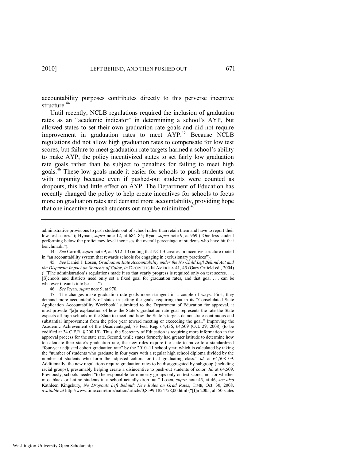accountability purposes contributes directly to this perverse incentive structure.<sup>44</sup>

<span id="page-9-0"></span>Until recently, NCLB regulations required the inclusion of graduation rates as an "academic indicator" in determining a school's AYP, but allowed states to set their own graduation rate goals and did not require improvement in graduation rates to meet  $\text{AYP}^{45}$  Because NCLB regulations did not allow high graduation rates to compensate for low test scores, but failure to meet graduation rate targets harmed a school's ability to make AYP, the policy incentivized states to set fairly low graduation rate goals rather than be subject to penalties for failing to meet high goals.<sup>46</sup> These low goals made it easier for schools to push students out with impunity because even if pushed-out students were counted as dropouts, this had little effect on AYP. The Department of Education has recently changed the policy to help create incentives for schools to focus more on graduation rates and demand more accountability, providing hope that one incentive to push students out may be minimized. $\dot{a}$ 

46. *See* Ryan, *supra* not[e 9,](#page-2-2) at 970.

47. The changes make graduation rate goals more stringent in a couple of ways. First, they demand more accountability of states in setting the goals, requiring that in its "Consolidated State Application Accountability Workbook" submitted to the Department of Education for approval, it must provide "[a]n explanation of how the State's graduation rate goal represents the rate the State expects all high schools in the State to meet and how the State's targets demonstrate continuous and substantial improvement from the prior year toward meeting or exceeding the goal." Improving the Academic Achievement of the Disadvantaged, 73 Fed. Reg. 64,436, 64,509 (Oct. 29, 2008) (to be codified at 34 C.F.R. § 200.19). Thus, the Secretary of Education is requiring more information in the approval process for the state rate. Second, while states formerly had greater latitude to determine how to calculate their state's graduation rate, the new rules require the state to move to a standardized ―four-year adjusted cohort graduation rate‖ by the 2010–11 school year, which is calculated by taking the "number of students who graduate in four years with a regular high school diploma divided by the number of students who form the adjusted cohort for that graduating class." *Id.* at 64,508–09. Additionally, the new regulations require graduation rates to be disaggregated by subgroup (including racial groups), presumably helping create a disincentive to push-out students of color. *Id.* at 64,509. Previously, schools needed "to be responsible for minority groups only on test scores, not for whether most black or Latino students in a school actually drop out.‖ Losen, *supra* note [45,](#page-9-0) at 46; *see also* Kathleen Kingsbury, *No Dropouts Left Behind: New Rules on Grad Rates*, TIME, Oct. 30, 2008, *available at* http://www.time.com/time/nation/article/0,8599,1854758,00.html ("[I]n 2005, all 50 states

<span id="page-9-1"></span>administrative provisions to push students out of school rather than retain them and have to report their low test scores."); Hyman, *supra* note [12,](#page-3-0) at 684–85; Ryan, *supra* note [9,](#page-2-2) at 969 ("One less student performing below the proficiency level increases the overall percentage of students who have hit that benchmark.").

<sup>44.</sup> *See* Carroll, *supra* not[e 9,](#page-2-2) at 1912–13 (noting that NCLB creates an incentive structure rooted in "an accountability system that rewards schools for engaging in exclusionary practices").

<sup>45.</sup> *See* Daniel J. Losen, *Graduation Rate Accountability under the No Child Left Behind Act and the Disparate Impact on Students of Color*, *in* DROPOUTS IN AMERICA 41, 45 (Gary Orfield ed., 2004) ("The administration's regulations made it so that yearly progress is required only on test scores. . . . [S]chools and districts need only set a fixed goal for graduation rates, and that goal . . . can be whatever it wants it to be  $\dots$ ."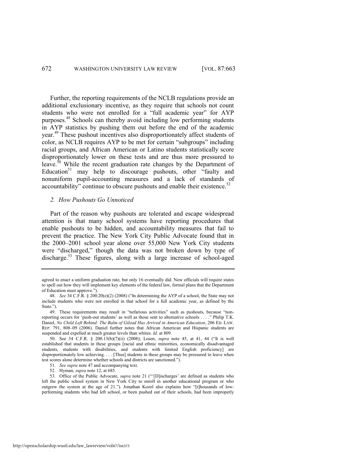Further, the reporting requirements of the NCLB regulations provide an additional exclusionary incentive, as they require that schools not count students who were not enrolled for a "full academic year" for AYP purposes.<sup>48</sup> Schools can thereby avoid including low performing students in AYP statistics by pushing them out before the end of the academic year.<sup>49</sup> These pushout incentives also disproportionately affect students of color, as NCLB requires AYP to be met for certain "subgroups" including racial groups, and African American or Latino students statistically score disproportionately lower on these tests and are thus more pressured to leave.<sup>50</sup> While the recent graduation rate changes by the Department of Education<sup>51</sup> may help to discourage pushouts, other "faulty and nonuniform pupil-accounting measures and a lack of standards of accountability" continue to obscure pushouts and enable their existence.<sup>52</sup>

#### *2. How Pushouts Go Unnoticed*

Part of the reason why pushouts are tolerated and escape widespread attention is that many school systems have reporting procedures that enable pushouts to be hidden, and accountability measures that fail to prevent the practice. The New York City Public Advocate found that in the 2000–2001 school year alone over 55,000 New York City students were "discharged," though the data was not broken down by type of discharge.<sup>53</sup> These figures, along with a large increase of school-aged

<span id="page-10-0"></span>agreed to enact a uniform graduation rate, but only 16 eventually did. Now officials will require states to spell out how they will implement key elements of the federal law, formal plans that the Department of Education must approve.").

<sup>48.</sup> *See* 34 C.F.R. § 200.20(e)(2) (2008) ("In determining the AYP of a school, the State may not include students who were not enrolled in that school for a full academic year, as defined by the State.").

<sup>49.</sup> These requirements may result in "nefarious activities" such as pushouts, because "nonreporting occurs for 'push-out students' as well as those sent to alternative schools . . . . " Philip T.K. Daniel, *No Child Left Behind: The Balm of Gilead Has Arrived in American Education*, 206 ED. LAW. REP. 791, 808–09 (2006). Daniel further notes that African American and Hispanic students are suspended and expelled at much greater levels than whites. *Id.* at 809.

<sup>50.</sup> See 34 C.F.R. § 200.13(b)(7)(ii) (2008); Losen, *supra* note [45,](#page-9-0) at 41, 44 ("It is well established that students in these groups [racial and ethnic minorities, economically disadvantaged students, students with disabilities, and students with limited English proficiency] are disproportionately low achieving. . . . [Thus] students in these groups may be pressured to leave when test scores alone determine whether schools and districts are sanctioned.").

<sup>51.</sup> *See supra* not[e 47 a](#page-9-1)nd accompanying text.

<sup>52.</sup> Hyman, *supra* note [12,](#page-3-0) at 685.

<sup>53.</sup> Office of the Public Advocate, *supra* note [21](#page-4-0) ("[D]ischarges' are defined as students who left the public school system in New York City to enroll in another educational program or who outgrew the system at the age of 21."). Jonathan Kozol also explains how "[t]housands of lowperforming students who had left school, or been pushed out of their schools, had been improperly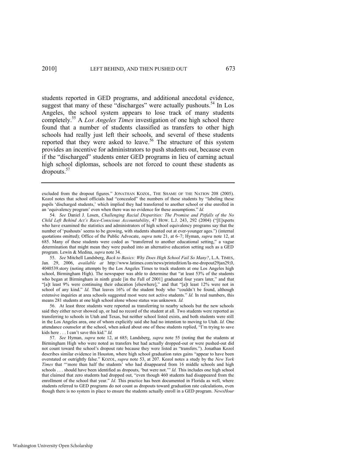<span id="page-11-2"></span><span id="page-11-0"></span>students reported in GED programs, and additional anecdotal evidence, suggest that many of these "discharges" were actually pushouts.<sup>54</sup> In Los Angeles, the school system appears to lose track of many students completely.<sup>55</sup> A *Los Angeles Times* investigation of one high school there found that a number of students classified as transfers to other high schools had really just left their schools, and several of these students reported that they were asked to leave.<sup>56</sup> The structure of this system provides an incentive for administrators to push students out, because even if the "discharged" students enter GED programs in lieu of earning actual high school diplomas, schools are not forced to count these students as dropouts.<sup>57</sup>

55. *See* Mitchell Landsberg, *Back to Basics: Why Does High School Fail So Many?*, L.A. TIMES, Jan. 29, 2006, *available at* [http://www.latimes.com/news/printedition/la-me-dropout29jan29,0,](http://www.latimes.com/news/printedition/la-me-dropout29jan29,0)  4040539.story (noting attempts by the Los Angeles Times to track students at one Los Angeles high school, Birmingham High). The newspaper was able to determine that "at least 53% of the students who began at Birmingham in ninth grade [in the Fall of 2001] graduated four years later," and that "[a]t least 9% were continuing their education [elsewhere]," and that "[a]t least 12% were not in school of any kind." *Id.* That leaves 16% of the student body who "couldn't be found, although extensive inquiries at area schools suggested most were not active students." *Id.* In real numbers, this means 281 students at one high school alone whose status was unknown. *Id.* 

56. At least three students were reported as transferring to nearby schools but the new schools said they either never showed up, or had no record of the student at all. Two students were reported as transferring to schools in Utah and Texas, but neither school listed exists, and both students were still in the Los Angeles area, one of whom explicitly said she had no intention to moving to Utah. *Id.* One attendance counselor at the school, when asked about one of these students replied, "I'm trying to save kids here . . . I can't save this kid." *Id.* 

57. *See* Hyman, *supra* note [12,](#page-3-0) at 685; Landsberg, *supra* note [55](#page-11-0) (noting that the students at Birmingham High who were noted as transfers but had actually dropped-out or were pushed-out did not count toward the school's dropout rate because they were listed as "transfers."). Jonathan Kozol describes similar evidence in Houston, where high school graduation rates gains "appear to have been overstated or outrightly false.‖ KOZOL, *supra* note [53,](#page-10-0) at 207. Kozol notes a study by the *New York*  Times that "more than half the students' who had disappeared from 16 middle schools and high schools . . . should have been identified as dropouts, 'but were not.'" *Id.* This includes one high school that claimed that zero students had dropped out, "even though 460 students had disappeared from the enrollment of the school that year." *Id.* This practice has been documented in Florida as well, where students referred to GED programs do not count as dropouts toward graduation rate calculations, even though there is no system in place to ensure the students actually enroll in a GED program. *NewsHour* 

<span id="page-11-1"></span>excluded from the dropout figures." JONATHAN KOZOL, THE SHAME OF THE NATION 208 (2005). Kozol notes that school officials had "concealed" the numbers of these students by "labeling these pupils ‗discharged students,' which implied they had transferred to another school or else enrolled in an 'equivalency program' even when there was no evidence for these assumptions." Id.

<sup>54.</sup> *See* Daniel J. Losen, *Challenging Racial Disparities: The Promise and Pitfalls of the No Child Left Behind Act's Race-Conscious Accountability, 47 HOW. L.J. 243, 292 (2004) ("[E]xperts* who have examined the statistics and administrators of high school equivalency programs say that the number of 'pushouts' seems to be growing, with students shunted out at ever-younger ages.") (internal quotations omitted); Office of the Public Advocate, *supra* not[e 21,](#page-4-0) at 6–7; Hyman, *supra* note [12,](#page-3-0) at 685. Many of these students were coded as "transferred to another educational setting," a vague determination that might mean they were pushed into an alternative education setting such as a GED program. Lewin & Medina, *supra* not[e 34.](#page-7-0)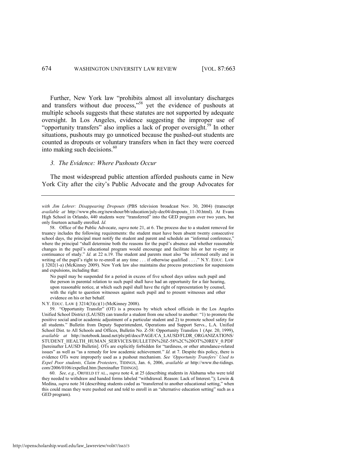Further, New York law "prohibits almost all involuntary discharges and transfers without due process,"<sup>58</sup> yet the evidence of pushouts at multiple schools suggests that these statutes are not supported by adequate oversight. In Los Angeles, evidence suggesting the improper use of "opportunity transfers" also implies a lack of proper oversight.<sup>59</sup> In other situations, pushouts may go unnoticed because the pushed-out students are counted as dropouts or voluntary transfers when in fact they were coerced into making such decisions.<sup>60</sup>

#### <span id="page-12-0"></span>*3. The Evidence: Where Pushouts Occur*

The most widespread public attention afforded pushouts came in New York City after the city's Public Advocate and the group Advocates for

No pupil may be suspended for a period in excess of five school days unless such pupil and the person in parental relation to such pupil shall have had an opportunity for a fair hearing, upon reasonable notice, at which such pupil shall have the right of representation by counsel, with the right to question witnesses against such pupil and to present witnesses and other evidence on his or her behalf.

N.Y. EDUC. LAW § 3214(3)(c)(1) (McKinney 2008).

"Opportunity Transfer" (OT) is a process by which school officials in the Los Angeles Unified School District (LAUSD) can transfer a student from one school to another: "1) to promote the positive social and/or academic adjustment of a particular student and 2) to promote school safety for all students." Bulletin from Deputy Superintendent, Operations and Support Servs., L.A. Unified School Dist. to All Schools and Offices, Bulletin No. Z-58: Opportunity Transfers 1 (Apr. 20, 1999), *available at* http://notebook.lausd.net/pls/ptl/docs/PAGE/CA\_LAUSD/FLDR\_ORGANIZATIONS/ STUDENT\_HEALTH\_HUMAN\_SERVICES/BULLETIN%20Z-58%2C%20OT%20REV\_0.PDF [hereinafter LAUSD Bulletin]. OTs are explicitly forbidden for "tardiness, or other attendance-related issues" as well as "as a remedy for low academic achievement." *Id.* at 7. Despite this policy, there is evidence OTs were improperly used as a pushout mechanism. *See "Opportunity Transfers" Used to Expel Poor students, Claim Protesters*, TIDINGS, Jan. 6, 2006, *available at* [http://www.the-tidings.](http://www.the-tidings/)  com/2006/0106/expelled.htm [hereinafter TIDINGS].

60. *See, e.g.*, ORFIELD ET AL., *supra* not[e 4,](#page-1-0) at 25 (describing students in Alabama who were told they needed to withdraw and handed forms labeled "withdrawal. Reason: Lack of Interest."); Lewin & Medina, *supra* not[e 34 \(](#page-7-0)describing students coded as "transferred to another educational setting," when this could mean they were pushed out and told to enroll in an "alternative education setting" such as a GED program).

*with Jim Lehrer: Disappearing Dropouts* (PBS television broadcast Nov. 30, 2004) (transcript *available at* http://www.pbs.org/newshour/bb/education/july-dec04/dropouts\_11-30.html). At Evans High School in Orlando, 440 students were "transferred" into the GED program over two years, but only fourteen actually enrolled. *Id.* 

<sup>58.</sup> Office of the Public Advocate, *supra* note [21,](#page-4-0) at 6. The process due to a student removed for truancy includes the following requirements: the student must have been absent twenty consecutive school days, the principal must notify the student and parent and schedule an "informal conference," where the principal "shall determine both the reasons for the pupil's absence and whether reasonable changes in the pupil's educational program would encourage and facilitate his or her re-entry or continuance of study." *Id.* at 22 n.19. The student and parents must also "be informed orally and in writing of the pupil's right to re-enroll at any time . . . if otherwise qualified . . . . " N.Y. EDUC. LAW § 3202(1-a) (McKinney 2009). New York law also maintains due process protections for suspensions and expulsions, including that: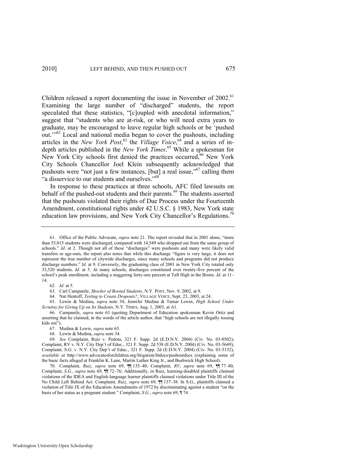<span id="page-13-0"></span>Children released a report documenting the issue in November of 2002.<sup>61</sup> Examining the large number of "discharged" students, the report speculated that these statistics, "[c]oupled with anecdotal information," suggest that "students who are at-risk, or who will need extra years to graduate, may be encouraged to leave regular high schools or be 'pushed out."<sup>62</sup> Local and national media began to cover the pushouts, including articles in the *New York Post*,<sup>63</sup> the *Village Voice*,<sup>64</sup> and a series of indepth articles published in the *New York Times*. <sup>65</sup> While a spokesman for New York City schools first denied the practices occurred,<sup>66</sup> New York City Schools Chancellor Joel Klein subsequently acknowledged that pushouts were "not just a few instances,  $[but]$  a real issue,"<sup>67</sup> calling them "a disservice to our students and ourselves."<sup>68</sup>

<span id="page-13-2"></span><span id="page-13-1"></span>In response to these practices at three schools, AFC filed lawsuits on behalf of the pushed-out students and their parents.<sup>69</sup> The students asserted that the pushouts violated their rights of Due Process under the Fourteenth Amendment, constitutional rights under 42 U.S.C. § 1983, New York state education law provisions, and New York City Chancellor's Regulations.<sup>70</sup>

62*. Id.* at 5.

63. Carl Campanile, *Shocker of Booted Students*, N.Y. POST, Nov. 9, 2002, at 9.

64. Nat Hentoff, *Testing to Create Dropouts?*, VILLAGE VOICE, Sept. 23, 2003, at 24.

65. Lewin & Medina, *supra* note [34;](#page-7-0) Jennifer Medina & Tamar Lewin, *High School Under Scrutiny for Giving Up on Its Students*, N.Y. TIMES, Aug. 1, 2003, at A1.

66. Campanile, *supra* note [63](#page-13-0) (quoting Department of Education spokesman Kevin Ortiz and asserting that he claimed, in the words of the article author, that "high schools are not illegally tossing kids out").

<sup>61.</sup> Office of the Public Advocate, *supra* note [21.](#page-4-0) The report revealed that in 2001 alone, "more than 55,015 students were discharged, compared with 14,549 who dropped out from the same group of schools." *Id.* at 2. Though not all of these "discharges" were pushouts and many were likely valid transfers or age-outs, the report also notes that while this discharge "figure is very large, it does not represent the true number of citywide discharges, since many schools and programs did not produce discharge numbers." *Id.* at 9. Conversely, the graduating class of 2001 in New York City totaled only 33,520 students. *Id.* at 5. At many schools, discharges constituted over twenty-five percent of the school's peak enrollment, including a staggering forty-one percent at Taft High in the Bronx. *Id.* at 11– 14.

<sup>67.</sup> Medina & Lewis, *supra* not[e 65.](#page-13-1) 

<sup>68.</sup> Lewin & Medina, *supra* not[e 34.](#page-7-0)

<sup>69.</sup> *See* Complaint, Ruiz v. Pedota, 321 F. Supp. 2d (E.D.N.Y. 2004) (Civ. No. 03-0502); Complaint, RV v. N.Y. City Dep't of Educ., 321 F. Supp. 2d 538 (E.D.N.Y. 2004) (Civ. No. 03-5649); Complaint, S.G. v. N.Y. City Dep't of Educ., 321 F. Supp. 2d (E.D.N.Y. 2004) (Civ. No. 03-5152), *available at* http://www.advocatesforchildren.org/litigation/litdocs/pushoutdocs (explaining some of the basic facts alleged at Franklin K. Lane, Martin Luther King Jr., and Bushwick High School).

<sup>70.</sup> Complaint, *Ruiz*, *supra* note [69,](#page-13-2) ¶¶ 135–40; Complaint, *RV*, *supra* note [69,](#page-13-2) ¶¶ 77–80, Complaint, *S.G.*, *supra* note [69,](#page-13-2) ¶¶ 72–76; Additionally, in Ruiz, learning-disabled plaintiffs claimed violations of the IDEA and English-language learner plaintiffs claimed violations under Title III of the No Child Left Behind Act. Complaint, *Ruiz*, *supra* note [69,](#page-13-2) ¶¶ 137–38. In S.G., plaintiffs claimed a violation of Title IX of the Education Amendments of 1972 by discriminating against a student "on the basis of her status as a pregnant student.‖ Complaint, *S.G.*, *supra* not[e 69,](#page-13-2) ¶ 74.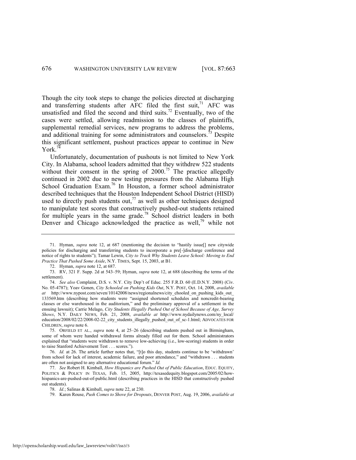Though the city took steps to change the policies directed at discharging and transferring students after AFC filed the first suit, $71$  AFC was unsatisfied and filed the second and third suits.<sup>72</sup> Eventually, two of the cases were settled, allowing readmission to the classes of plaintiffs, supplemental remedial services, new programs to address the problems, and additional training for some administrators and counselors.<sup>73</sup> Despite this significant settlement, pushout practices appear to continue in New  $Y$ ork.<sup>74</sup>

<span id="page-14-1"></span><span id="page-14-0"></span>Unfortunately, documentation of pushouts is not limited to New York City. In Alabama, school leaders admitted that they withdrew 522 students without their consent in the spring of  $2000$ .<sup>75</sup> The practice allegedly continued in 2002 due to new testing pressures from the Alabama High School Graduation Exam.<sup>76</sup> In Houston, a former school administrator described techniques that the Houston Independent School District (HISD) used to directly push students out, $^{77}$  as well as other techniques designed to manipulate test scores that constructively pushed-out students retained for multiple years in the same grade.<sup>78</sup> School district leaders in both Denver and Chicago acknowledged the practice as well,<sup>79</sup> while not

<sup>71.</sup> Hyman, *supra* note [12,](#page-3-0) at 687 (mentioning the decision to "hastily issue[] new citywide policies for discharging and transferring students to incorporate a pre[-]discharge conference and notice of rights to students‖); Tamar Lewin, *City to Track Why Students Leave School: Moving to End Practice That Pushed Some Aside*, N.Y. TIMES, Sept. 15, 2003, at B1.

<sup>72.</sup> Hyman, *supra* note [12,](#page-3-0) at 687.

<sup>73.</sup> RV, 321 F. Supp. 2d at 543–59; Hyman, *supra* note [12,](#page-3-0) at 688 (describing the terms of the settlement).

<sup>74.</sup> *See also* Complaint, D.S. v. N.Y. City Dep't of Educ. 255 F.R.D. 60 (E.D.N.Y. 2008) (Civ. No. 05-4787); Yoav Gonen, *City \$chooled on Pushing Kids Out*, N.Y. POST, Oct. 14, 2008, *available*  at http://www.nypost.com/seven/10142008/news/regionalnews/city\_chooled\_on\_pushing\_kids\_out 133569.htm (describing how students were "assigned shortened schedules and noncredit-bearing classes or else warehoused in the auditorium," and the preliminary approval of a settlement in the ensuing lawsuit); Carrie Melago, *City Students Illegally Pushed Out of School Because of Age, Survey Shows*, N.Y. DAILY NEWS, Feb. 21, 2008, *available at* http://www.nydailynews.com/ny\_local/ education/2008/02/22/2008-02-22\_city\_students\_illegally\_pushed\_out\_of\_sc-1.html; ADVOCATES FOR CHILDREN, *supra* note [6.](#page-2-1) 

<sup>75.</sup> ORFIELD ET AL., *supra* note [4,](#page-1-0) at 25–26 (describing students pushed out in Birmingham, some of whom were handed withdrawal forms already filled out for them. School administrators explained that "students were withdrawn to remove low-achieving (i.e., low-scoring) students in order to raise Stanford Achievement Test . . . scores.").

<sup>76.</sup> *Id.* at 26. The article further notes that, "[t]o this day, students continue to be 'withdrawn' from school for lack of interest, academic failure, and poor attendance," and "withdrawn . . . students are often not assigned to any alternative educational forum." *Id.* 

<sup>77.</sup> *See* Robert H. Kimball, *How Hispanics are Pushed Out of Public Education*, EDUC. EQUITY, POLITICS & POLICY IN TEXAS, Feb. 15, 2005, http://texasedequity.blogspot.com/2005/02/howhispanics-are-pushed-out-of-public.html (describing practices in the HISD that constructively pushed out students).

<sup>78.</sup> *Id.*; Salinas & Kimball, *supra* not[e 22,](#page-5-0) at 230.

<sup>79.</sup> Karen Rouse, *Push Comes to Shove for Dropouts*, DENVER POST, Aug. 19, 2006, *available at*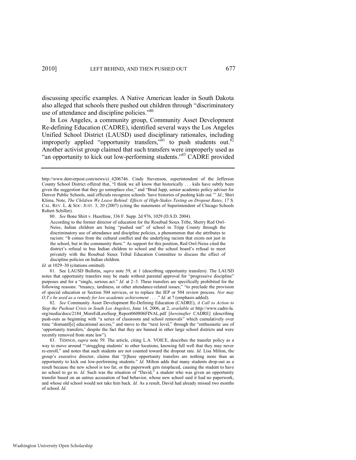discussing specific examples. A Native American leader in South Dakota also alleged that schools there pushed out children through "discriminatory use of attendance and discipline policies."<sup>80</sup>

<span id="page-15-0"></span>In Los Angeles, a community group, Community Asset Development Re-defining Education (CADRE), identified several ways the Los Angeles Unified School District (LAUSD) used disciplinary rationales, including improperly applied "opportunity transfers,"<sup>81</sup> to push students out.<sup>82</sup> Another activist group claimed that such transfers were improperly used as "an opportunity to kick out low-performing students."<sup>83</sup> CADRE provided

80. *See* Bone Shirt v. Hazeltine, 336 F. Supp. 2d 976, 1029 (D.S.D. 2004).

*Id.* at 1029–30 (citations omitted).

81. See LAUSD Bulletin, *supra* note [59,](#page-12-0) at 1 (describing opportunity transfers). The LAUSD notes that opportunity transfers may be made without parental approval for "progressive discipline" purposes and for a "single, serious act." *Id.* at 2–3. These transfers are specifically prohibited for the following reasons: "truancy, tardiness, or other attendance-related issues," "to preclude the provision of special education or Section 504 services, or to replace the IEP or 504 review process. *Nor may O.T.s be used as a remedy for low academic achievement* . . . ." *Id.* at 7 (emphasis added).

82. *See* Community Asset Development Re-Defining Education (CADRE), *A Call to Action to Stop the Pushout Crisis in South Los Angelesi*, June 14, 2006, at 2, *available at* http://www.cadre-la. org/media/docs/2184\_MoreEdLessSusp\_Report060806FINAL.pdf [*hereinafter* CADRE] (describing push-outs as beginning with "a series of classroom and school removals" which cumulatively over time "dismantl[e] educational access," and move to the "next level," through the "enthusiastic use of 'opportunity transfers,' despite the fact that they are banned in other large school districts and were recently removed from state law").

83. TIDINGS, *supra* note [59.](#page-12-0) The article, citing L.A. VOICE, describes the transfer policy as a way to move around "struggling students' to other locations, knowing full well that they may never re-enroll," and notes that such students are not counted toward the dropout rate. *Id.* Lisa Milton, the group's executive director, claims that "[t]hese opportunity transfers are nothing more than an opportunity to kick out low-performing students." *Id.* Milton adds that many students drop-out as a result because the new school is too far, or the paperwork gets misplaced, causing the student to have no school to go to. *Id.* Such was the situation of "David," a student who was given an opportunity transfer based on an untrue accusation of bad behavior, whose new school said it had no paperwork, and whose old school would not take him back. *Id.* As a result, David had already missed two months of school. *Id.* 

http://www.denverpost.com/news/ci\_4206746. Cindy Stevenson, superintendent of the Jefferson County School District offered that, "I think we all know that historically . . . kids have subtly been given the suggestion that they go someplace else," and "Brad Jupp, senior academic policy adviser for Denver Public Schools, said officials recognize schools 'have histories of pushing kids out.'" *Id.*; Shiri Klima, Note, *The Children We Leave Behind: Effects of High-Stakes Testing on Dropout Rates*, 17 S. CAL. REV. L. & SOC. JUST. 3, 20 (2007) (citing the statements of Superintendent of Chicago Schools Robert Schiller).

According to the former director of education for the Rosebud Sioux Tribe, Sherry Red Owl-Neiss, Indian children are being "pushed out" of school in Tripp County through the discriminatory use of attendance and discipline policies, a phenomenon that she attributes to racism: "It comes from the cultural conflict and the underlying racism that exists not just in the school, but in the community there." As support for this position, Red Owl-Neiss cited the district's refusal to bus Indian children to school and the school board's refusal to meet privately with the Rosebud Sioux Tribal Education Committee to discuss the effect of discipline policies on Indian children.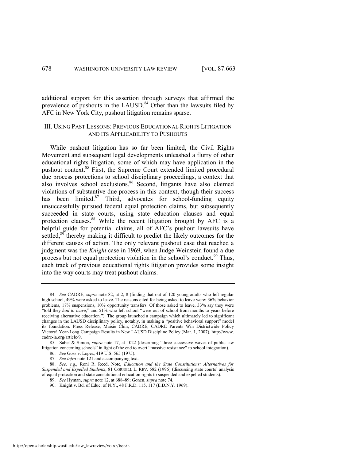additional support for this assertion through surveys that affirmed the prevalence of pushouts in the LAUSD. $84$  Other than the lawsuits filed by AFC in New York City, pushout litigation remains sparse.

# III. USING PAST LESSONS: PREVIOUS EDUCATIONAL RIGHTS LITIGATION AND ITS APPLICABILITY TO PUSHOUTS

<span id="page-16-0"></span>While pushout litigation has so far been limited, the Civil Rights Movement and subsequent legal developments unleashed a flurry of other educational rights litigation, some of which may have application in the pushout context.<sup>85</sup> First, the Supreme Court extended limited procedural due process protections to school disciplinary proceedings, a context that also involves school exclusions. $86$  Second, litigants have also claimed violations of substantive due process in this context, though their success has been limited. $87$  Third, advocates for school-funding equity unsuccessfully pursued federal equal protection claims, but subsequently succeeded in state courts, using state education clauses and equal protection clauses.<sup>88</sup> While the recent litigation brought by AFC is a helpful guide for potential claims, all of AFC's pushout lawsuits have settled,<sup>89</sup> thereby making it difficult to predict the likely outcomes for the different causes of action. The only relevant pushout case that reached a judgment was the *Knight* case in 1969, when Judge Weinstein found a due process but not equal protection violation in the school's conduct.<sup>90</sup> Thus, each track of previous educational rights litigation provides some insight into the way courts may treat pushout claims.

<sup>84.</sup> *See* CADRE, *supra* note [82,](#page-15-0) at 2, 8 (finding that out of 120 young adults who left regular high school, 49% were asked to leave. The reasons cited for being asked to leave were: 36% behavior problems, 17% suspensions, 10% opportunity transfers. Of those asked to leave, 33% say they were "told they *had to leave*," and 51% who left school "were out of school from months to years before receiving alternative education."). The group launched a campaign which ultimately led to significant changes in the LAUSD disciplinary policy, notably, in making a "positive behavioral support" model its foundation. Press Release, Maisie Chin, CADRE, CADRE Parents Win Districtwide Policy Victory! Year-Long Campaign Results in New LAUSD Discipline Policy (Mar. 1, 2007), http://www. cadre-la.org/article/9.

<sup>85.</sup> Sabel & Simon, *supra* note [17,](#page-3-1) at 1022 (describing "three successive waves of public law litigation concerning schools<sup>3</sup> in light of the end to overt "massive resistance" to school integration).

<sup>86.</sup> *See* Goss v. Lopez, 419 U.S. 565 (1975).

<sup>87.</sup> *See infra* not[e 121 a](#page-20-0)nd accompanying text.

<sup>88.</sup> *See, e.g.*, Roni R. Reed, Note, *Education and the State Constitutions: Alternatives for Suspended and Expelled Students*, 81 CORNELL L. REV. 582 (1996) (discussing state courts' analysis of equal protection and state constitutional education rights to suspended and expelled students).

<sup>89.</sup> *See* Hyman, *supra* not[e 12,](#page-3-0) at 688–89; Gonen, *supra* not[e 74.](#page-14-1)

<sup>90.</sup> Knight v. Bd. of Educ. of N.Y., 48 F.R.D. 115, 117 (E.D.N.Y. 1969).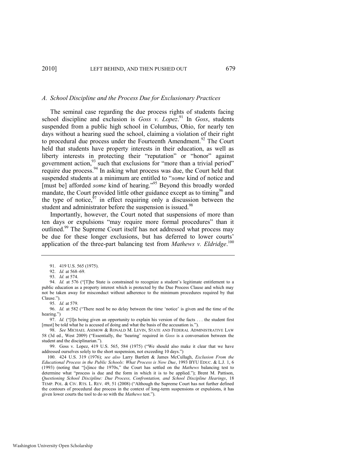#### *A. School Discipline and the Process Due for Exclusionary Practices*

The seminal case regarding the due process rights of students facing school discipline and exclusion is *Goss v. Lopez*.<sup>91</sup> In *Goss*, students suspended from a public high school in Columbus, Ohio, for nearly ten days without a hearing sued the school, claiming a violation of their right to procedural due process under the Fourteenth Amendment.<sup>92</sup> The Court held that students have property interests in their education, as well as liberty interests in protecting their "reputation" or "honor" against government action, $93$  such that exclusions for "more than a trivial period" require due process.<sup>94</sup> In asking what process was due, the Court held that suspended students at a minimum are entitled to "some kind of notice and [must be] afforded *some* kind of hearing."<sup>95</sup> Beyond this broadly worded mandate, the Court provided little other guidance except as to timing<sup>96</sup> and the type of notice, $97$  in effect requiring only a discussion between the student and administrator before the suspension is issued.<sup>98</sup>

Importantly, however, the Court noted that suspensions of more than ten days or expulsions "may require more formal procedures" than it outlined.<sup>99</sup> The Supreme Court itself has not addressed what process may be due for these longer exclusions, but has deferred to lower courts' application of the three-part balancing test from *Mathews v. Eldridge*. 100

<span id="page-17-0"></span><sup>91. 419</sup> U.S. 565 (1975).

<sup>92.</sup> *Id.* at 568–69.

<sup>93.</sup> *Id.* at 574.

<sup>94.</sup> *Id.* at 576 ("T]he State is constrained to recognize a student's legitimate entitlement to a public education as a property interest which is protected by the Due Process Clause and which may not be taken away for misconduct without adherence to the minimum procedures required by that Clause.").

<sup>95.</sup> *Id.* at 579.

<sup>96.</sup> *Id.* at 582 ("There need be no delay between the time 'notice' is given and the time of the hearing.")

<sup>97.</sup> *Id.* ("[I]n being given an opportunity to explain his version of the facts . . . the student first [must] be told what he is accused of doing and what the basis of the accusation is.").

<sup>98.</sup> *See* MICHAEL ASIMOW & RONALD M. LEVIN, STATE AND FEDERAL ADMINISTRATIVE LAW 58 (3d ed., West 2009) ("Essentially, the 'hearing' required in *Goss* is a conversation between the student and the disciplinarian.").

<sup>99.</sup> Goss v. Lopez, 419 U.S. 565, 584 (1975) ("We should also make it clear that we have addressed ourselves solely to the short suspension, not exceeding 10 days.")

<sup>100. 424</sup> U.S. 319 (1976); *see also* Larry Bartlett & James McCullagh, *Exclusion From the Educational Process in the Public Schools: What Process is Now Due*, 1993 BYU EDUC. & L.J. 1, 6 (1993) (noting that "[s]ince the 1970s," the Court has settled on the *Mathews* balancing test to determine what "process is due and the form in which it is to be applied."); Brent M. Pattison, *Questioning School Discipline: Due Process, Confrontation, and School Discipline Hearings*, 18 TEMP. POL. & CIV. RTS. L. REV. 49, 51 (2008) ("Although the Supreme Court has not further defined the contours of procedural due process in the context of long-term suspensions or expulsions, it has given lower courts the tool to do so with the *Mathews* test.").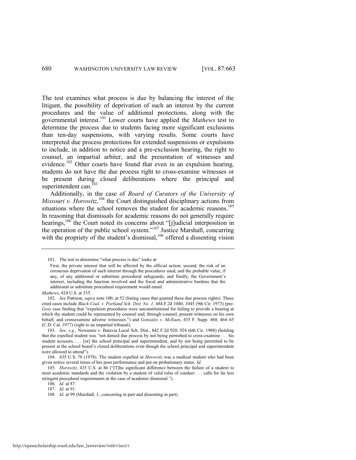The test examines what process is due by balancing the interest of the litigant, the possibility of deprivation of such an interest by the current procedures and the value of additional protections, along with the governmental interest.<sup>101</sup> Lower courts have applied the *Mathews* test to determine the process due to students facing more significant exclusions than ten-day suspensions, with varying results. Some courts have interpreted due process protections for extended suspensions or expulsions to include, in addition to notice and a pre-exclusion hearing, the right to counsel, an impartial arbiter, and the presentation of witnesses and evidence.<sup>102</sup> Other courts have found that even in an expulsion hearing, students do not have the due process right to cross-examine witnesses or be present during closed deliberations where the principal and superintendent can.<sup>103</sup>

<span id="page-18-0"></span>Additionally, in the case of *Board of Curators of the University of Missouri v. Horowitz*,<sup>104</sup> the Court distinguished disciplinary actions from situations where the school removes the student for academic reasons.<sup>105</sup> In reasoning that dismissals for academic reasons do not generally require hearings,<sup>106</sup> the Court noted its concerns about "[j]udicial interposition in the operation of the public school system." $107$  Justice Marshall, concurring with the propriety of the student's dismissal, $108$  offered a dissenting vision

<sup>101.</sup> The test to determine "what process is due" looks at:

First, the private interest that will be affected by the official action; second, the risk of an erroneous deprivation of such interest through the procedures used, and the probable value, if any, of any additional or substitute procedural safeguards; and finally, the Government's interest, including the function involved and the fiscal and administrative burdens that the additional or substitute procedural requirement would entail.

*Mathews*, 424 U.S. at 335.

<sup>102.</sup> *See* Pattison, *supra* not[e 100,](#page-17-0) at 52 (listing cases that granted these due process rights). These cited cases include *Black Coal. v. Portland Sch. Dist. No. 1*, 484 F.2d 1040, 1045 (9th Cir. 1973) (pre-Goss case finding that "expulsion procedures were unconstitutional for failing to provide a hearing at which the student could be represented by counsel and, through counsel, present witnesses on his own behalf, and crossexamine adverse witnesses.") and *Gonzales v. McEuen*, 435 F. Supp. 460, 464–65 (C.D. Cal. 1977) (right to an impartial tribunal).

<sup>103.</sup> *See, e.g.*, Newsome v. Batavia Local Sch. Dist., 842 F.2d 920, 924 (6th Cir. 1988) (holding that the expelled student was "not denied due process by not being permitted to cross-examine . . . his student accusers, . . . [or] the school principal and superintendent, and by not being permitted to be present at the school board's closed deliberations even though the school principal and superintendent were allowed to attend").

<sup>104. 435</sup> U.S. 78 (1978). The student expelled in *Horowitz* was a medical student who had been given notice several times of her poor performance and put on probationary status. *Id.* 

<sup>105.</sup> *Horowitz*, 435 U.S. at 86 ("[T]he significant difference between the failure of a student to meet academic standards and the violation by a student of valid rules of conduct . . . calls for far less stringent procedural requirements in the case of academic dismissal.").

<sup>106.</sup> *Id.* at 87.

<sup>107.</sup> *Id.* at 91.

<sup>108.</sup> *Id.* at 99 (Marshall, J., concurring in part and dissenting in part).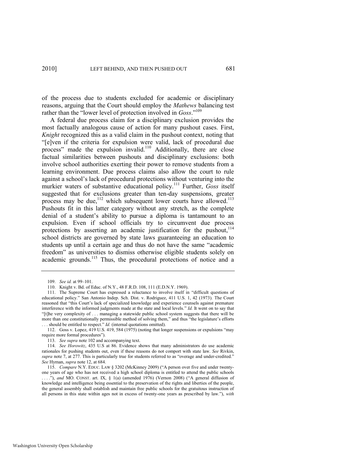of the process due to students excluded for academic or disciplinary reasons, arguing that the Court should employ the *Mathews* balancing test rather than the "lower level of protection involved in *Goss*."<sup>109</sup>

A federal due process claim for a disciplinary exclusion provides the most factually analogous cause of action for many pushout cases. First, *Knight* recognized this as a valid claim in the pushout context, noting that ―[e]ven if the criteria for expulsion were valid, lack of procedural due process" made the expulsion invalid.<sup>110</sup> Additionally, there are close factual similarities between pushouts and disciplinary exclusions: both involve school authorities exerting their power to remove students from a learning environment. Due process claims also allow the court to rule against a school's lack of procedural protections without venturing into the murkier waters of substantive educational policy.<sup>111</sup> Further, *Goss* itself suggested that for exclusions greater than ten-day suspensions, greater process may be due, $^{112}$  which subsequent lower courts have allowed.<sup>113</sup> Pushouts fit in this latter category without any stretch, as the complete denial of a student's ability to pursue a diploma is tantamount to an expulsion. Even if school officials try to circumvent due process protections by asserting an academic justification for the pushout,<sup>114</sup> school districts are governed by state laws guaranteeing an education to students up until a certain age and thus do not have the same "academic freedom" as universities to dismiss otherwise eligible students solely on academic grounds.<sup>115</sup> Thus, the procedural protections of notice and a

113. *See supra* not[e 102 a](#page-18-0)nd accompanying text.

114. *See Horowitz*, 435 U.S at 86. Evidence shows that many administrators do use academic rationales for pushing students out, even if these reasons do not comport with state law. *See* Rivkin, supra not[e 7,](#page-2-0) at 277. This is particularly true for students referred to as "overage and under-credited." *See* Hyman, *supra* not[e 12,](#page-3-0) at 684.

<sup>109.</sup> *See id.* at 99–101.

<sup>110.</sup> Knight v. Bd. of Educ. of N.Y., 48 F.R.D. 108, 111 (E.D.N.Y. 1969).

<sup>111.</sup> The Supreme Court has expressed a reluctance to involve itself in "difficult questions of educational policy." San Antonio Indep. Sch. Dist. v. Rodriguez, 411 U.S. 1, 42 (1973). The Court reasoned that "this Court's lack of specialized knowledge and experience counsels against premature interference with the informed judgments made at the state and local levels." *Id.* It went on to say that ―[t]he very complexity of . . . managing a statewide public school system suggests that there will be more than one constitutionally permissible method of solving them," and thus "the legislature's efforts ... should be entitled to respect." *Id.* (internal quotations omitted).

<sup>112.</sup> Goss v. Lopez, 419 U.S. 419, 584 (1975) (noting that longer suspensions or expulsions "may require more formal procedures").

<sup>115.</sup> *Compare* N.Y. EDUC. LAW § 3202 (McKinney 2009) ("A person over five and under twentyone years of age who has not received a high school diploma is entitled to attend the public schools ...."), and MO. CONST. art. IX, § 1(a) (amended 1976) (Vernon 2008) ("A general diffusion of knowledge and intelligence being essential to the preservation of the rights and liberties of the people, the general assembly shall establish and maintain free public schools for the gratuitous instruction of all persons in this state within ages not in excess of twenty-one years as prescribed by law.‖), *with*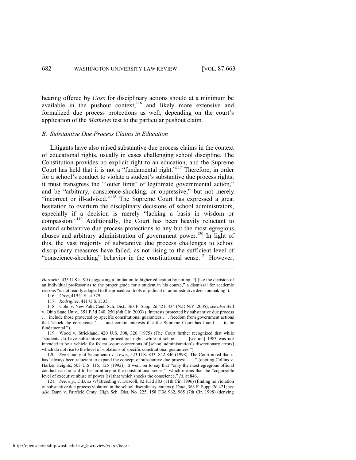hearing offered by *Goss* for disciplinary actions should at a minimum be available in the pushout context, $116$  and likely more extensive and formalized due process protections as well, depending on the court's application of the *Mathews* test to the particular pushout claim.

#### *B. Substantive Due Process Claims in Education*

Litigants have also raised substantive due process claims in the context of educational rights, usually in cases challenging school discipline. The Constitution provides no explicit right to an education, and the Supreme Court has held that it is not a "fundamental right."<sup>117</sup> Therefore, in order for a school's conduct to violate a student's substantive due process rights, it must transgress the "outer limit' of legitimate governmental action," and be "arbitrary, conscience-shocking, or oppressive," but not merely "incorrect or ill-advised."<sup>118</sup> The Supreme Court has expressed a great hesitation to overturn the disciplinary decisions of school administrators, especially if a decision is merely "lacking a basis in wisdom or compassion."<sup>119</sup> Additionally, the Court has been heavily reluctant to extend substantive due process protections to any but the most egregious abuses and arbitrary administration of government power.<sup>120</sup> In light of this, the vast majority of substantive due process challenges to school disciplinary measures have failed, as not rising to the sufficient level of "conscience-shocking" behavior in the constitutional sense.<sup>121</sup> However,

*Horowitz*, 435 U.S at 90 (suggesting a limitation to higher education by noting, "[l]ike the decision of an individual professor as to the proper grade for a student in his course," a dismissal for academic reasons "is not readily adapted to the procedural tools of judicial or administrative decisionmaking").

<span id="page-20-0"></span><sup>116.</sup> *Goss*, 419 U.S. at 579.

<sup>117.</sup> *Rodriguez*, 411 U.S. at 35.

<sup>118.</sup> Cohn v. New Paltz Cent. Sch. Dist., 363 F. Supp. 2d 421, 434 (N.D.N.Y. 2005); *see also* Bell v. Ohio State Univ., 351 F.3d 240, 250 (6th Cir. 2003) ("Interests protected by substantive due process . . . include those protected by specific constitutional guarantees . . . freedom from government actions that ‗shock the conscience,' . . . and certain interests that the Supreme Court has found . . . to be fundamental.").

<sup>119.</sup> Wood v. Strickland, 420 U.S. 308, 326 (1975) (The Court further recognized that while ―students do have substantive and procedural rights while at school . . . . [section] 1983 was not intended to be a vehicle for federal-court corrections of [school administration's discretionary errors] which do not rise to the level of violations of specific constitutional guarantees.").

<sup>120.</sup> *See* County of Sacramento v. Lewis, 523 U.S. 833, 842 846 (1998). The Court noted that it has "always been reluctant to expand the concept of substantive due process . . . ." (quoting Collins v. Harker Heights,  $503 \text{ U.S. } 115$ ,  $125 \text{ (1992)}$ ). It went on to say that "only the most egregious official conduct can be said to be 'arbitrary in the constitutional sense,"" which means that the "cognizable level of executive abuse of power [is] that which shocks the conscience." *Id.* at 846.

<sup>121.</sup> *See, e.g.*, C.B. *ex rel* Breeding v. Driscoll, 82 F.3d 383 (11th Cir. 1996) (finding no violation of substantive due process violation in the school disciplinary context); *Cohn*, 363 F. Supp. 2d 421; *see also* Dunn v. Fairfield Cmty. High Sch. Dist. No. 225, 158 F.3d 962, 965 (7th Cir. 1998) (denying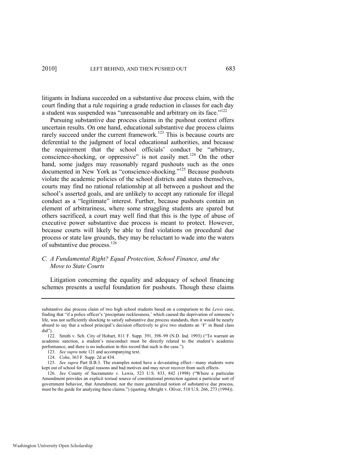litigants in Indiana succeeded on a substantive due process claim, with the court finding that a rule requiring a grade reduction in classes for each day a student was suspended was "unreasonable and arbitrary on its face."<sup>122</sup>

Pursuing substantive due process claims in the pushout context offers uncertain results. On one hand, educational substantive due process claims rarely succeed under the current framework.<sup>123</sup> This is because courts are deferential to the judgment of local educational authorities, and because the requirement that the school officials' conduct be "arbitrary, conscience-shocking, or oppressive" is not easily met.<sup>124</sup> On the other hand, some judges may reasonably regard pushouts such as the ones documented in New York as "conscience-shocking."<sup>125</sup> Because pushouts violate the academic policies of the school districts and states themselves, courts may find no rational relationship at all between a pushout and the school's asserted goals, and are unlikely to accept any rationale for illegal conduct as a "legitimate" interest. Further, because pushouts contain an element of arbitrariness, where some struggling students are spared but others sacrificed, a court may well find that this is the type of abuse of executive power substantive due process is meant to protect. However, because courts will likely be able to find violations on procedural due process or state law grounds, they may be reluctant to wade into the waters of substantive due process.<sup>126</sup>

# *C. A Fundamental Right? Equal Protection, School Finance, and the Move to State Courts*

Litigation concerning the equality and adequacy of school financing schemes presents a useful foundation for pushouts. Though these claims

substantive due process claim of two high school students based on a comparison to the *Lewis* case, finding that "if a police officer's 'precipitate recklessness,' which caused the deprivation of someone's life, was not sufficiently shocking to satisfy substantive due process standards, then it would be nearly absurd to say that a school principal's decision effectively to give two students an 'F' in Band class did").

<sup>122.</sup> Smith v. Sch. City of Hobart, 811 F. Supp. 391, 398-99 (N.D. Ind. 1993) ("To warrant an academic sanction, a student's misconduct must be directly related to the student's academic performance, and there is no indication in this record that such is the case.").

<sup>123.</sup> *See supra* not[e 121 a](#page-20-0)nd accompanying text.

<sup>124.</sup> *Cohn*, 363 F. Supp. 2d at 434.

<sup>125.</sup> *See supra* Part II.B.3. The examples noted have a devastating effect—many students were kept out of school for illegal reasons and bad motives and may never recover from such effects.

<sup>126.</sup> See County of Sacramento v. Lewis, 523 U.S. 833, 842 (1998) ("Where a particular Amendment provides an explicit textual source of constitutional protection against a particular sort of government behavior, that Amendment, not the more generalized notion of substantive due process, must be the guide for analyzing these claims.") (quoting Albright v. Oliver, 510 U.S. 266, 273 (1994)).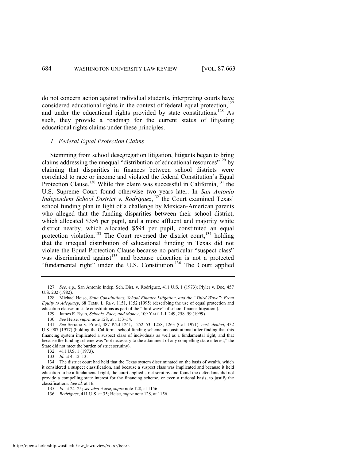do not concern action against individual students, interpreting courts have considered educational rights in the context of federal equal protection, $127$ and under the educational rights provided by state constitutions.<sup>128</sup> As such, they provide a roadmap for the current status of litigating educational rights claims under these principles.

#### <span id="page-22-1"></span><span id="page-22-0"></span>*1. Federal Equal Protection Claims*

Stemming from school desegregation litigation, litigants began to bring claims addressing the unequal "distribution of educational resources"<sup>129</sup> by claiming that disparities in finances between school districts were correlated to race or income and violated the federal Constitution's Equal Protection Clause.<sup>130</sup> While this claim was successful in California,<sup>131</sup> the U.S. Supreme Court found otherwise two years later. In *San Antonio*  Independent School District v. Rodriguez,<sup>132</sup> the Court examined Texas' school funding plan in light of a challenge by Mexican-American parents who alleged that the funding disparities between their school district, which allocated \$356 per pupil, and a more affluent and majority white district nearby, which allocated \$594 per pupil, constituted an equal protection violation.<sup>133</sup> The Court reversed the district court,<sup>134</sup> holding that the unequal distribution of educational funding in Texas did not violate the Equal Protection Clause because no particular "suspect class" was discriminated against<sup>135</sup> and because education is not a protected "fundamental right" under the U.S. Constitution.<sup>136</sup> The Court applied

129. James E. Ryan, *Schools, Race, and Money*, 109 YALE L.J. 249, 258–59 (1999).

133. *Id.* at 4, 12–13.

<sup>127.</sup> *See, e.g.*, San Antonio Indep. Sch. Dist. v. Rodriguez, 411 U.S. 1 (1973); Plyler v. Doe, 457 U.S. 202 (1982).

<sup>128.</sup> Michael Heise, *State Constitutions, School Finance Litigation, and the "Third Wave": From Equity to Adequacy*, 68 TEMP. L. REV. 1151, 1152 (1995) (describing the use of equal protection and education clauses in state constitutions as part of the "third wave" of school finance litigation.).

<sup>130.</sup> *See* Heise, *supra* not[e 128,](#page-22-0) at 1153–54.

<sup>131.</sup> *See* Serrano v. Priest, 487 P.2d 1241, 1252–53, 1258, 1263 (Cal. 1971), *cert. denied*, 432 U.S. 907 (1977) (holding the California school funding scheme unconstitutional after finding that this financing system implicated a suspect class of individuals as well as a fundamental right, and that because the funding scheme was "not necessary to the attainment of any compelling state interest," the State did not meet the burden of strict scrutiny).

<sup>132. 411</sup> U.S. 1 (1973).

<sup>134.</sup> The district court had held that the Texas system discriminated on the basis of wealth, which it considered a suspect classification, and because a suspect class was implicated and because it held education to be a fundamental right, the court applied strict scrutiny and found the defendants did not provide a compelling state interest for the financing scheme, or even a rational basis, to justify the classifications. *See id.* at 16.

<sup>135.</sup> *Id.* at 24–25; *see also* Heise, *supra* not[e 128,](#page-22-0) at 1156.

<sup>136.</sup> *Rodriguez*, 411 U.S. at 35; Heise, *supra* not[e 128,](#page-22-0) at 1156.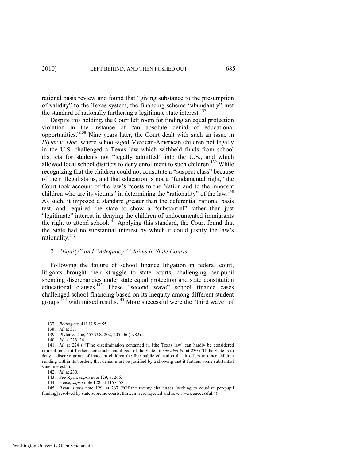rational basis review and found that "giving substance to the presumption of validity" to the Texas system, the financing scheme "abundantly" met the standard of rationally furthering a legitimate state interest.<sup>137</sup>

Despite this holding, the Court left room for finding an equal protection violation in the instance of "an absolute denial of educational opportunities.‖<sup>138</sup> Nine years later, the Court dealt with such an issue in *Plyler v. Doe*, where school-aged Mexican-American children not legally in the U.S. challenged a Texas law which withheld funds from school districts for students not "legally admitted" into the U.S., and which allowed local school districts to deny enrollment to such children.<sup>139</sup> While recognizing that the children could not constitute a "suspect class" because of their illegal status, and that education is not a "fundamental right," the Court took account of the law's "costs to the Nation and to the innocent children who are its victims" in determining the "rationality" of the law.<sup>140</sup> As such, it imposed a standard greater than the deferential rational basis test, and required the state to show a "substantial" rather than just "legitimate" interest in denying the children of undocumented immigrants the right to attend school.<sup>141</sup> Applying this standard, the Court found that the State had no substantial interest by which it could justify the law's rationality.<sup>142</sup>

# *2. "Equity" and "Adequacy" Claims in State Courts*

Following the failure of school finance litigation in federal court, litigants brought their struggle to state courts, challenging per-pupil spending discrepancies under state equal protection and state constitution educational clauses.<sup>143</sup> These "second wave" school finance cases challenged school financing based on its inequity among different student groups,<sup> $144$ </sup> with mixed results.<sup>145</sup> More successful were the "third wave" of

138. *Id.* at 37.

- 142. *Id.* at 230.
- 143. *See* Ryan, *supra* not[e 129,](#page-22-1) at 266.
- 144. Heise, *supra* not[e 128,](#page-22-0) at 1157–58.

145. Ryan, *supra* note [129](#page-22-1), at 267 ("Of the twenty challenges [seeking to equalize per-pupil funding] resolved by state supreme courts, thirteen were rejected and seven were successful.").

<sup>137.</sup> *Rodriguez*, 411 U.S at 55.

<sup>139.</sup> Plyler v. Doe, 457 U.S. 202, 205–06 (1982).

<sup>140.</sup> *Id.* at 223–24.

<sup>141.</sup> *Id.* at 224 ("T]he discrimination contained in [the Texas law] can hardly be considered rational unless it furthers some substantial goal of the State."); *see also id.* at 230 ("If the State is to deny a discrete group of innocent children the free public education that it offers to other children residing within its borders, that denial must be justified by a showing that it furthers some substantial state interest.").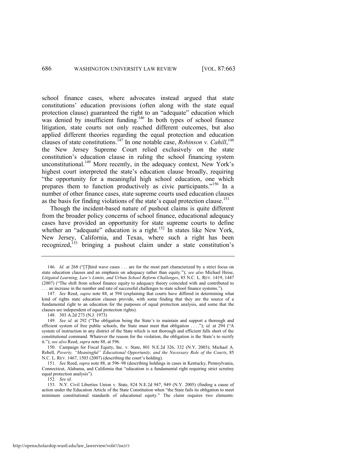<span id="page-24-0"></span>school finance cases, where advocates instead argued that state constitutions' education provisions (often along with the state equal protection clause) guaranteed the right to an "adequate" education which was denied by insufficient funding.<sup>146</sup> In both types of school finance litigation, state courts not only reached different outcomes, but also applied different theories regarding the equal protection and education clauses of state constitutions.<sup>147</sup> In one notable case, *Robinson v. Cahill*,<sup>148</sup> the New Jersey Supreme Court relied exclusively on the state constitution's education clause in ruling the school financing system unconstitutional.<sup>149</sup> More recently, in the adequacy context, New York's highest court interpreted the state's education clause broadly, requiring "the opportunity for a meaningful high school education, one which prepares them to function productively as civic participants.<sup> $150$ </sup> In a number of other finance cases, state supreme courts used education clauses as the basis for finding violations of the state's equal protection clause.<sup>151</sup>

<span id="page-24-1"></span>Though the incident-based nature of pushout claims is quite different from the broader policy concerns of school finance, educational adequacy cases have provided an opportunity for state supreme courts to define whether an "adequate" education is a right.<sup>152</sup> In states like New York, New Jersey, California, and Texas, where such a right has been recognized,<sup>153</sup> bringing a pushout claim under a state constitution's

148. 303 A.2d 273 (N.J. 1973)

152. *See id.*

<sup>146.</sup> *Id.* at 268 ("[T]hird wave cases ... are for the most part characterized by a strict focus on state education clauses and an emphasis on adequacy rather than equity."); *see also* Michael Heise, *Litigated Learning, Law"s Limits, and Urban School Reform Challenges*, 85 N.C. L. REV. 1419, 1447 (2007) ("The shift from school finance equity to adequacy theory coincided with and contributed to ... an increase in the number and rate of successful challenges to state school finance systems.").

<sup>147.</sup> *See* Reed, *supra* note [88,](#page-16-0) at 594 (explaining that courts have differed in determining what kind of rights state education clauses provide, with some finding that they are the source of a fundamental right to an education for the purposes of equal protection analysis, and some that the clauses are independent of equal protection rights).

<sup>149.</sup> *See id.* at 292 ("The obligation being the State's to maintain and support a thorough and efficient system of free public schools, the State must meet that obligation ...."); *id.* at 294 ("A system of instruction in any district of the State which is not thorough and efficient falls short of the constitutional command. Whatever the reason for the violation, the obligation is the State's to rectify it."); see also Reed, supra note [88,](#page-16-0) at 596.

<sup>150.</sup> Campaign for Fiscal Equity, Inc. v. State, 801 N.E.2d 326, 332 (N.Y. 2003); Michael A. Rebell, *Poverty, "Meaningful" Educational Opportunity, and the Necessary Role of the Courts*, 85 N.C. L. REV. 1467, 1503 (2007) (describing the court's holding).

<sup>151.</sup> *See* Reed, *supra* not[e 88,](#page-16-0) at 596–98 (describing holdings in cases in Kentucky, Pennsylvania, Connecticut, Alabama, and California that "education is a fundamental right requiring strict scrutiny equal protection analysis").

<sup>153.</sup> N.Y. Civil Liberties Union v. State, 824 N.E.2d 947, 949 (N.Y. 2005) (finding a cause of action under the Education Article of the State Constitution when "the State fails its obligation to meet minimum constitutional standards of educational equity." The claim requires two elements: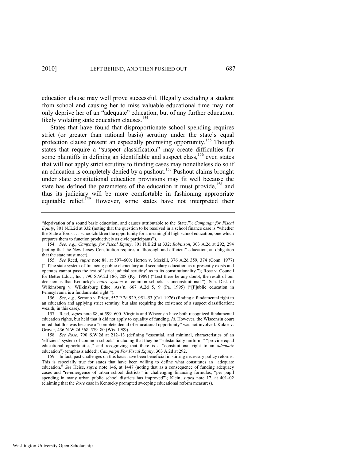education clause may well prove successful. Illegally excluding a student from school and causing her to miss valuable educational time may not only deprive her of an "adequate" education, but of any further education, likely violating state education clauses.<sup>154</sup>

<span id="page-25-0"></span>States that have found that disproportionate school spending requires strict (or greater than rational basis) scrutiny under the state's equal protection clause present an especially promising opportunity.<sup>155</sup> Though states that require a "suspect classification" may create difficulties for some plaintiffs in defining an identifiable and suspect class,  $156$  even states that will not apply strict scrutiny to funding cases may nonetheless do so if an education is completely denied by a pushout.<sup>157</sup> Pushout claims brought under state constitutional education provisions may fit well because the state has defined the parameters of the education it must provide,<sup>158</sup> and thus its judiciary will be more comfortable in fashioning appropriate equitable relief.<sup>159</sup> However, some states have not interpreted their

156. *See, e.g.*, Serrano v. Priest, 557 P.2d 929, 951–53 (Cal. 1976) (finding a fundamental right to an education and applying strict scrutiny, but also requiring the existence of a suspect classification; wealth, in this case).

157. Reed, *supra* not[e 88,](#page-16-0) at 599–600. Virginia and Wisconsin have both recognized fundamental education rights, but held that it did not apply to equality of funding. *Id.* However, the Wisconsin court noted that this was because a "complete denial of educational opportunity" was not involved. Kukor v. Grover, 436 N.W.2d 568, 579–80 (Wis. 1989).

<sup>―</sup>deprivation of a sound basic education, and causes attributable to the State.‖); *Campaign for Fiscal Equity*, 801 N.E.2d at 332 (noting that the question to be resolved in a school finance case is "whether the State affords . . . schoolchildren the opportunity for a meaningful high school education, one which prepares them to function productively as civic participants").

<sup>154.</sup> *See, e.g.*, *Campaign for Fiscal Equity*, 801 N.E.2d at 332; *Robinson*, 303 A.2d at 292, 294 (noting that the New Jersey Constitution requires a "thorough and efficient" education, an obligation that the state must meet).

<sup>155.</sup> *See* Reed, *supra* note [88,](#page-16-0) at 597–600; Horton v. Meskill, 376 A.2d 359, 374 (Conn. 1977) (―[T]he state system of financing public elementary and secondary education as it presently exists and operates cannot pass the test of 'strict judicial scrutiny' as to its constitutionality."); Rose v. Council for Better Educ., Inc., 790 S.W.2d 186, 208 (Ky. 1989) ("Lest there be any doubt, the result of our decision is that Kentucky's *entire system* of common schools is unconstitutional."); Sch. Dist. of Wilkinsburg v. Wilkinsburg Educ. Ass'n. 667 A.2d 5, 9 (Pa. 1995) ("[P]ublic education in Pennsylvania is a fundamental right.").

<sup>158.</sup> See Rose, 790 S.W.2d at 212-13 (defining "essential, and minimal, characteristics of an 'efficient' system of common schools" including that they be "substantially uniform," "provide equal educational opportunities," and recognizing that there is a "constitutional right to an *adequate* education") (emphasis added); *Campaign For Fiscal Equity*, 303 A.2d at 292.

<sup>159.</sup> In fact, past challenges on this basis have been beneficial in stirring necessary policy reforms. This is especially true for states that have been willing to define what constitutes an "adequate education.<sup>"</sup> See Heise, *supra* note [146,](#page-24-0) at 1447 (noting that as a consequence of funding adequacy cases and "re-emergence of urban school districts" in challenging financing formulas, "per pupil spending in many urban public school districts has improved"); Klein, *supra* note [17,](#page-3-1) at 401-02 (claiming that the *Rose* case in Kentucky prompted sweeping educational reform measures).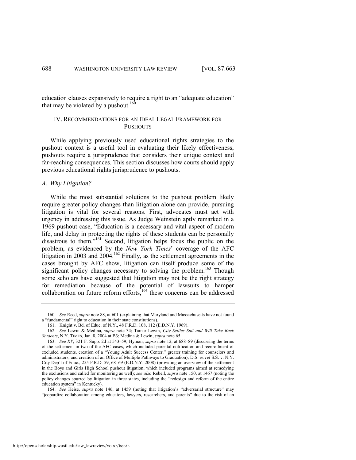education clauses expansively to require a right to an "adequate education" that may be violated by a pushout.<sup>160</sup>

# IV. RECOMMENDATIONS FOR AN IDEAL LEGAL FRAMEWORK FOR **PUSHOUTS**

While applying previously used educational rights strategies to the pushout context is a useful tool in evaluating their likely effectiveness, pushouts require a jurisprudence that considers their unique context and far-reaching consequences. This section discusses how courts should apply previous educational rights jurisprudence to pushouts.

#### *A. Why Litigation?*

While the most substantial solutions to the pushout problem likely require greater policy changes than litigation alone can provide, pursuing litigation is vital for several reasons. First, advocates must act with urgency in addressing this issue. As Judge Weinstein aptly remarked in a 1969 pushout case, "Education is a necessary and vital aspect of modern life, and delay in protecting the rights of these students can be personally disastrous to them."<sup>161</sup> Second, litigation helps focus the public on the problem, as evidenced by the *New York Times*' coverage of the AFC litigation in 2003 and 2004.<sup>162</sup> Finally, as the settlement agreements in the cases brought by AFC show, litigation can itself produce some of the significant policy changes necessary to solving the problem.<sup>163</sup> Though some scholars have suggested that litigation may not be the right strategy for remediation because of the potential of lawsuits to hamper collaboration on future reform efforts, $164$  these concerns can be addressed

<sup>160.</sup> *See* Reed, *supra* not[e 88,](#page-16-0) at 601 (explaining that Maryland and Massachusetts have not found a "fundamental" right to education in their state constitutions).

<sup>161.</sup> Knight v. Bd. of Educ. of N.Y., 48 F.R.D. 108, 112 (E.D.N.Y. 1969).

<sup>162.</sup> *See* Lewin & Medina, *supra* note [34;](#page-7-0) Tamar Lewin, *City Settles Suit and Will Take Back Students*, N.Y. TIMES, Jan. 8, 2004 at B3; Medina & Lewin, *supra* not[e 65.](#page-13-1)

<sup>163.</sup> *See RV*, 321 F. Supp. 2d at 543–59; Hyman, *supra* note [12,](#page-3-0) at 688–89 (discussing the terms of the settlement in two of the AFC cases, which included parental notification and reenrollment of excluded students, creation of a "Young Adult Success Center," greater training for counselors and administrators, and creation of an Office of Multiple Pathways to Graduation); D.S. *ex rel* S.S. v. N.Y. City Dep't of Educ., 255 F.R.D. 59, 68–69 (E.D.N.Y. 2008) (providing an overview of the settlement in the Boys and Girls High School pushout litigation, which included programs aimed at remedying the exclusions and called for monitoring as well); *see also* Rebell, *supra* not[e 150,](#page-24-1) at 1467 (noting the policy changes spurred by litigation in three states, including the "redesign and reform of the entire education system" in Kentucky).

<sup>164.</sup> See Heise, *supra* note [146,](#page-24-0) at 1459 (noting that litigation's "adversarial structure" may "jeopardize collaboration among educators, lawyers, researchers, and parents" due to the risk of an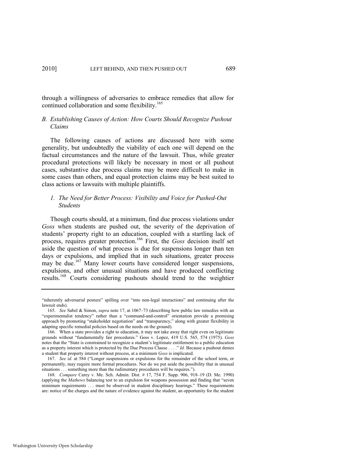through a willingness of adversaries to embrace remedies that allow for continued collaboration and some flexibility.<sup>165</sup>

# *B. Establishing Causes of Action: How Courts Should Recognize Pushout Claims*

The following causes of actions are discussed here with some generality, but undoubtedly the viability of each one will depend on the factual circumstances and the nature of the lawsuit. Thus, while greater procedural protections will likely be necessary in most or all pushout cases, substantive due process claims may be more difficult to make in some cases than others, and equal protection claims may be best suited to class actions or lawsuits with multiple plaintiffs.

# *1. The Need for Better Process: Visibility and Voice for Pushed-Out Students*

Though courts should, at a minimum, find due process violations under *Goss* when students are pushed out, the severity of the deprivation of students' property right to an education, coupled with a startling lack of process, requires greater protection.<sup>166</sup> First, the *Goss* decision itself set aside the question of what process is due for suspensions longer than ten days or expulsions, and implied that in such situations, greater process may be due.<sup>167</sup> Many lower courts have considered longer suspensions, expulsions, and other unusual situations and have produced conflicting results.<sup>168</sup> Courts considering pushouts should trend to the weightier

<sup>&</sup>quot;inherently adversarial posture" spilling over "into non-legal interactions" and continuing after the lawsuit ends).

<sup>165.</sup> *See* Sabel & Simon, *supra* note [17,](#page-3-1) at 1067–73 (describing how public law remedies with an "experimentalist tendency" rather than a "command-and-control" orientation provide a promising approach by promoting "stakeholder negotiation" and "transparency," along with greater flexibility in adapting specific remedial policies based on the needs on the ground).

<sup>166.</sup> When a state provides a right to education, it may not take away that right even on legitimate grounds without "fundamentally fair procedures." Goss v. Lopez, 419 U.S. 565, 574 (1975). Goss notes that the "State is constrained to recognize a student's legitimate entitlement to a public education as a property interest which is protected by the Due Process Clause . . . . " *Id.* Because a pushout denies a student that property interest without process, at a minimum *Goss* is implicated.

<sup>167.</sup> *See id.* at 584 ("Longer suspensions or expulsions for the remainder of the school term, or permanently, may require more formal procedures. Nor do we put aside the possibility that in unusual situations . . . something more than the rudimentary procedures will be requires.").

<sup>168.</sup> *Compare* Carey v. Me. Sch. Admin. Dist. # 17, 754 F. Supp. 906, 918–19 (D. Me. 1990) (applying the *Mathews* balancing test to an expulsion for weapons possession and finding that "seven minimum requirements . . . must be observed in student disciplinary hearings." These requirements are: notice of the charges and the nature of evidence against the student, an opportunity for the student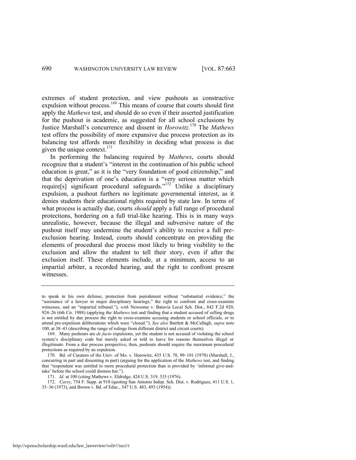extremes of student protection, and view pushouts as constructive expulsion without process.<sup>169</sup> This means of course that courts should first apply the *Mathews* test, and should do so even if their asserted justification for the pushout is academic, as suggested for all school exclusions by Justice Marshall's concurrence and dissent in *Horowitz.*<sup>170</sup> The *Mathews* test offers the possibility of more expansive due process protection as its balancing test affords more flexibility in deciding what process is due given the unique context. $171$ 

In performing the balancing required by *Mathews*, courts should recognize that a student's "interest in the continuation of his public school education is great," as it is the "very foundation of good citizenship," and that the deprivation of one's education is a "very serious matter which require[s] significant procedural safeguards."<sup>172</sup> Unlike a disciplinary expulsion, a pushout furthers no legitimate governmental interest, as it denies students their educational rights required by state law. In terms of what process is actually due, courts *should* apply a full range of procedural protections, bordering on a full trial-like hearing. This is in many ways unrealistic, however, because the illegal and subversive nature of the pushout itself may undermine the student's ability to receive a full preexclusion hearing. Instead, courts should concentrate on providing the elements of procedural due process most likely to bring visibility to the exclusion and allow the student to tell their story, even if after the exclusion itself. These elements include, at a minimum, access to an impartial arbiter, a recorded hearing, and the right to confront present witnesses.

to speak in his own defense, protection from punishment without "substantial evidence," the "assistance of a lawyer in major disciplinary hearings," the right to confront and cross-examine witnesses, and an "impartial tribunal."), *with* Newsome v. Batavia Local Sch. Dist., 842 F.2d 920, 924–26 (6th Cir. 1988) (applying the *Mathews* test and finding that a student accused of selling drugs is not entitled by due process the right to cross-examine accusing students or school officials, or to attend pre-expulsion deliberations which were "closed."). See also Bartlett & McCullagh, *supra* note [100,](#page-17-0) at 38–43 (describing the range of rulings from different district and circuit courts).

<sup>169.</sup> Many pushouts are *de facto* expulsions, yet the student is not accused of violating the school system's disciplinary code but merely asked or told to leave for reasons themselves illegal or illegitimate. From a due process perspective, then, pushouts should require the maximum procedural protections as required by an expulsion.

<sup>170.</sup> Bd. of Curators of the Univ. of Mo. v. Horowitz, 435 U.S. 78, 99–101 (1978) (Marshall, J., concurring in part and dissenting in part) (arguing for the application of the *Mathews* test, and finding that "respondent was entitled to more procedural protection than is provided by 'informal give-andtake' before the school could dismiss her.").

<sup>171.</sup> *Id.* at 100 (citing Mathews v. Eldridge, 424 U.S. 319, 335 (1976).

<sup>172.</sup> *Carey*, 754 F. Supp. at 918 (quoting San Antonio Indep. Sch. Dist. v. Rodriguez, 411 U.S. 1, 35–36 (1973), and Brown v. Bd. of Educ., 347 U.S. 483, 493 (1954)).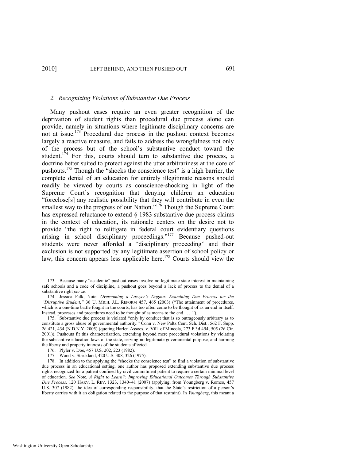#### *2. Recognizing Violations of Substantive Due Process*

Many pushout cases require an even greater recognition of the deprivation of student rights than procedural due process alone can provide, namely in situations where legitimate disciplinary concerns are not at issue.<sup>173</sup> Procedural due process in the pushout context becomes largely a reactive measure, and fails to address the wrongfulness not only of the process but of the school's substantive conduct toward the student.<sup>174</sup> For this, courts should turn to substantive due process, a doctrine better suited to protect against the utter arbitrariness at the core of pushouts.<sup>175</sup> Though the "shocks the conscience test" is a high barrier, the complete denial of an education for entirely illegitimate reasons should readily be viewed by courts as conscience-shocking in light of the Supreme Court's recognition that denying children an education ―foreclose[s] any realistic possibility that they will contribute in even the smallest way to the progress of our Nation."<sup>176</sup> Though the Supreme Court has expressed reluctance to extend  $\S$  1983 substantive due process claims in the context of education, its rationale centers on the desire not to provide "the right to relitigate in federal court evidentiary questions  $arising$  in school disciplinary proceedings."<sup>177</sup> Because pushed-out students were never afforded a "disciplinary proceeding" and their exclusion is not supported by any legitimate assertion of school policy or law, this concern appears less applicable here.<sup>178</sup> Courts should view the

<sup>173.</sup> Because many "academic" pushout cases involve no legitimate state interest in maintaining safe schools and a code of discipline, a pushout goes beyond a lack of process to the denial of a substantive right *per se*.

<sup>174.</sup> Jessica Falk, Note, *Overcoming a Lawyer"s Dogma: Examining Due Process for the*  "Disruptive Student," 36 U. MICH. J.L. REFORM 457, 465 (2003) ("The attainment of procedures, which is a one-time battle fought in the courts, has too often come to be thought of as an end in itself. Instead, processes and procedures need to be thought of as means to the end . . . . ").

<sup>175.</sup> Substantive due process is violated "only by conduct that is so outrageously arbitrary as to constitute a gross abuse of governmental authority." Cohn v. New Paltz Cent. Sch. Dist., 562 F. Supp. 2d 421, 434 (N.D.N.Y. 2005) (quoting Harlen Assocs. v. Vill. of Mineola, 273 F.3d 494, 505 (2d Cir. 2001)). Pushouts fit this characterization, extending beyond mere procedural violations by violating the substantive education laws of the state, serving no legitimate governmental purpose, and harming the liberty and property interests of the students affected.

<sup>176.</sup> Plyler v. Doe, 457 U.S. 202, 223 (1982).

<sup>177.</sup> Wood v. Strickland, 420 U.S. 308, 326 (1975).

<sup>178.</sup> In addition to the applying the "shocks the conscience test" to find a violation of substantive due process in an educational setting, one author has proposed extending substantive due process rights recognized for a patient confined by civil commitment patient to require a certain minimal level of education. *See* Note, *A Right to Learn?: Improving Educational Outcomes Through Substantive Due Process,* 120 HARV. L. REV. 1323, 1340–41 (2007) (applying, from Youngberg v. Romeo, 457 U.S. 307 (1982), the idea of corresponding responsibility, that the State's restriction of a person's liberty carries with it an obligation related to the purpose of that restraint). In *Youngberg*, this meant a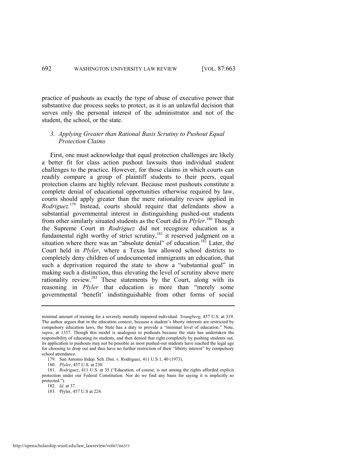practice of pushouts as exactly the type of abuse of executive power that substantive due process seeks to protect, as it is an unlawful decision that serves only the personal interest of the administrator and not of the student, the school, or the state.

# *3. Applying Greater than Rational Basis Scrutiny to Pushout Equal Protection Claims*

First, one must acknowledge that equal protection challenges are likely a better fit for class action pushout lawsuits than individual student challenges to the practice. However, for those claims in which courts can readily compare a group of plaintiff students to their peers, equal protection claims are highly relevant. Because most pushouts constitute a complete denial of educational opportunities otherwise required by law, courts should apply greater than the mere rationality review applied in *Rodriguez.*<sup>179</sup> Instead, courts should require that defendants show a substantial governmental interest in distinguishing pushed-out students from other similarly situated students as the Court did in *Plyler*. <sup>180</sup> Though the Supreme Court in *Rodriguez* did not recognize education as a fundamental right worthy of strict scrutiny,<sup>181</sup> it reserved judgment on a situation where there was an "absolute denial" of education.<sup>182</sup> Later, the Court held in *Plyler*, where a Texas law allowed school districts to completely deny children of undocumented immigrants an education, that such a deprivation required the state to show a "substantial goal" in making such a distinction, thus elevating the level of scrutiny above mere rationality review.<sup>183</sup> These statements by the Court, along with its reasoning in *Plyler* that education is more than "merely some governmental ‗benefit' indistinguishable from other forms of social

minimal amount of training for a severely mentally impaired individual. *Youngberg*, 457 U.S. at 319. The author argues that in the education context, because a student's liberty interests are restricted by compulsory education laws, the State has a duty to provide a "minimal level of education." Note, *supra*, at 1337. Though this model is analogous to pushouts because the state has undertaken the responsibility of educating its students, and then denied that right completely by pushing students out, its application to pushouts may not be possible as most pushed-out students have reached the legal age for choosing to drop out and thus have no further restriction of their "liberty interest" by compulsory school attendance.

<sup>179.</sup> San Antonio Indep. Sch. Dist. v. Rodriguez, 411 U.S 1, 40 (1973).

<sup>180.</sup> *Plyler*, 457 U.S. at 230.

<sup>181.</sup> *Rodriguez*, 411 U.S. at 35 ("Education, of course, is not among the rights afforded explicit protection under our Federal Constitution. Nor do we find any basis for saying it is implicitly so protected.").

<sup>182.</sup> *Id.* at 37.

<sup>183.</sup> Plyler, 457 U.S at 224.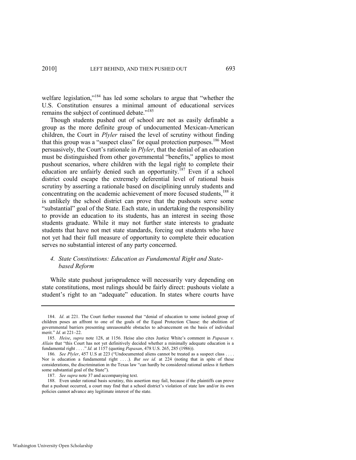welfare legislation,"<sup>184</sup> has led some scholars to argue that "whether the U.S. Constitution ensures a minimal amount of educational services remains the subject of continued debate."<sup>185</sup>

Though students pushed out of school are not as easily definable a group as the more definite group of undocumented Mexican-American children, the Court in *Plyler* raised the level of scrutiny without finding that this group was a "suspect class" for equal protection purposes.<sup>186</sup> Most persuasively, the Court's rationale in *Plyler*, that the denial of an education must be distinguished from other governmental "benefits," applies to most pushout scenarios, where children with the legal right to complete their education are unfairly denied such an opportunity.<sup>187</sup> Even if a school district could escape the extremely deferential level of rational basis scrutiny by asserting a rationale based on disciplining unruly students and concentrating on the academic achievement of more focused students,<sup>188</sup> it is unlikely the school district can prove that the pushouts serve some "substantial" goal of the State. Each state, in undertaking the responsibility to provide an education to its students, has an interest in seeing those students graduate. While it may not further state interests to graduate students that have not met state standards, forcing out students who have not yet had their full measure of opportunity to complete their education serves no substantial interest of any party concerned.

# *4. State Constitutions: Education as Fundamental Right and Statebased Reform*

While state pushout jurisprudence will necessarily vary depending on state constitutions, most rulings should be fairly direct: pushouts violate a student's right to an "adequate" education. In states where courts have

187. *See supra* not[e 37 a](#page-7-1)nd accompanying text.

<sup>184.</sup> *Id.* at 221. The Court further reasoned that "denial of education to some isolated group of children poses an affront to one of the goals of the Equal Protection Clause: the abolition of governmental barriers presenting unreasonable obstacles to advancement on the basis of individual merit." *Id.* at 221–22.

<sup>185.</sup> *Heise*, *supra* note [128,](#page-22-0) at 1156. Heise also cites Justice White's comment in *Papasan v. Allain* that "this Court has not yet definitively decided whether a minimally adequate education is a fundamental right . . . .‖ *Id.* at 1157 (quoting *Papasan*, 478 U.S. 265, 285 (1986)).

<sup>186.</sup> See Plyler, 457 U.S at 223 ("Undocumented aliens cannot be treated as a suspect class . . . . Nor is education a fundamental right . . . .). *But see id.* at 224 (noting that in spite of these considerations, the discrimination in the Texas law "can hardly be considered rational unless it furthers some substantial goal of the State").

<sup>188.</sup> Even under rational basis scrutiny, this assertion may fail, because if the plaintiffs can prove that a pushout occurred, a court may find that a school district's violation of state law and/or its own policies cannot advance any legitimate interest of the state.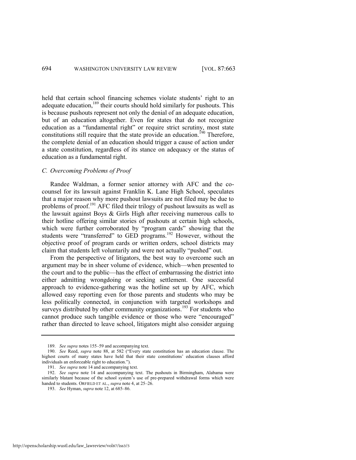held that certain school financing schemes violate students' right to an adequate education,<sup>189</sup> their courts should hold similarly for pushouts. This is because pushouts represent not only the denial of an adequate education, but of an education altogether. Even for states that do not recognize education as a "fundamental right" or require strict scrutiny, most state constitutions still require that the state provide an education.<sup>190</sup> Therefore, the complete denial of an education should trigger a cause of action under a state constitution, regardless of its stance on adequacy or the status of education as a fundamental right.

#### *C. Overcoming Problems of Proof*

Randee Waldman, a former senior attorney with AFC and the cocounsel for its lawsuit against Franklin K. Lane High School, speculates that a major reason why more pushout lawsuits are not filed may be due to problems of proof.<sup>191</sup> AFC filed their trilogy of pushout lawsuits as well as the lawsuit against Boys & Girls High after receiving numerous calls to their hotline offering similar stories of pushouts at certain high schools, which were further corroborated by "program cards" showing that the students were "transferred" to GED programs.<sup>192</sup> However, without the objective proof of program cards or written orders, school districts may claim that students left voluntarily and were not actually "pushed" out.

From the perspective of litigators, the best way to overcome such an argument may be in sheer volume of evidence, which—when presented to the court and to the public—has the effect of embarrassing the district into either admitting wrongdoing or seeking settlement. One successful approach to evidence-gathering was the hotline set up by AFC, which allowed easy reporting even for those parents and students who may be less politically connected, in conjunction with targeted workshops and surveys distributed by other community organizations.<sup>193</sup> For students who cannot produce such tangible evidence or those who were "encouraged" rather than directed to leave school, litigators might also consider arguing

<sup>189.</sup> *See supra* note[s 155](#page-25-0)–59 and accompanying text.

<sup>190.</sup> *See* Reed, *supra* note [88,](#page-16-0) at 582 ("Every state constitution has an education clause. The highest courts of many states have held that their state constitutions' education clauses afford individuals an enforceable right to education.").

<sup>191.</sup> *See supra* not[e 14 a](#page-3-2)nd accompanying text.

<sup>192.</sup> *See supra* note [14](#page-3-2) and accompanying text. The pushouts in Birmingham, Alabama were similarly blatant because of the school system's use of pre-prepared withdrawal forms which were handed to students. ORFIELD ET AL., *supra* not[e 4,](#page-1-0) at 25–26.

<sup>193.</sup> *See* Hyman, *supra* not[e 12,](#page-3-0) at 685–86.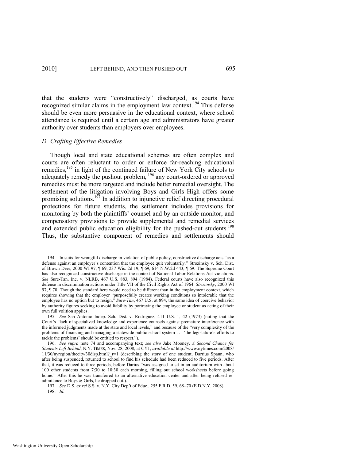that the students were "constructively" discharged, as courts have recognized similar claims in the employment law context.<sup>194</sup> This defense should be even more persuasive in the educational context, where school attendance is required until a certain age and administrators have greater authority over students than employers over employees.

#### *D. Crafting Effective Remedies*

Though local and state educational schemes are often complex and courts are often reluctant to order or enforce far-reaching educational remedies,<sup>195</sup> in light of the continued failure of New York City schools to adequately remedy the pushout problem, <sup>196</sup> any court-ordered or approved remedies must be more targeted and include better remedial oversight. The settlement of the litigation involving Boys and Girls High offers some promising solutions.<sup>197</sup> In addition to injunctive relief directing procedural protections for future students, the settlement includes provisions for monitoring by both the plaintiffs' counsel and by an outside monitor, and compensatory provisions to provide supplemental and remedial services and extended public education eligibility for the pushed-out students.<sup>198</sup> Thus, the substantive component of remedies and settlements should

<sup>194.</sup> In suits for wrongful discharge in violation of public policy, constructive discharge acts "as a defense against an employer's contention that the employee quit voluntarily." Strozinsky v. Sch. Dist. of Brown Deer, 2000 WI 97, ¶ 69, 237 Wis. 2d 19, ¶ 69, 614 N.W.2d 443, ¶ 69. The Supreme Court has also recognized constructive discharge in the context of National Labor Relations Act violations. *See* Sure-Tan, Inc. v. NLRB, 467 U.S. 883, 894 (1984). Federal courts have also recognized this defense in discrimination actions under Title VII of the Civil Rights Act of 1964. *Strozinsky*, 2000 WI 97, ¶ 70. Though the standard here would need to be different than in the employment context, which requires showing that the employer "purposefully creates working conditions so intolerable that the employee has no option but to resign," *Sure-Tan*, 467 U.S. at 894, the same idea of coercive behavior by authority figures seeking to avoid liability by portraying the employee or student as acting of their own full volition applies.

<sup>195.</sup> *See* San Antonio Indep. Sch. Dist. v. Rodriguez, 411 U.S. 1, 42 (1973) (noting that the Court's "lack of specialized knowledge and experience counsels against premature interference with the informed judgments made at the state and local levels," and because of the "very complexity of the problems of financing and managing a statewide public school system . . . ‗the legislature's efforts to tackle the problems' should be entitled to respect.").

<sup>196.</sup> *See supra* note [74](#page-14-1) and accompanying text; *see also* Jake Mooney, *A Second Chance for Students Left Behind*, N.Y. TIMES, Nov. 28, 2008, at CY1, *available at* http://www.nytimes.com/2008/ 11/30/nyregion/thecity/30disp.html?\_r=1 (describing the story of one student, Darrius Spann, who after being suspended, returned to school to find his schedule had been reduced to five periods. After that, it was reduced to three periods, before Darius "was assigned to sit in an auditorium with about 100 other students from 7:30 to 10:30 each morning, filling out school worksheets before going home." After this he was transferred to an alternative education center and after being refused readmittance to Boys & Girls, he dropped out.).

<sup>197.</sup> *See* D.S. *ex rel* S.S. v. N.Y. City Dep't of Educ., 255 F.R.D. 59, 68–70 (E.D.N.Y. 2008). 198. *Id.*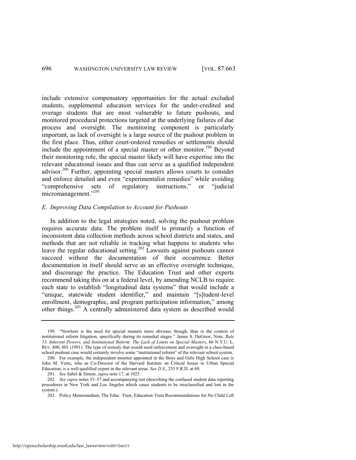include extensive compensatory opportunities for the actual excluded students, supplemental education services for the under-credited and overage students that are most vulnerable to future pushouts, and monitored procedural protections targeted at the underlying failures of due process and oversight. The monitoring component is particularly important, as lack of oversight is a large source of the pushout problem in the first place. Thus, either court-ordered remedies or settlements should include the appointment of a special master or other monitor.<sup>199</sup> Bevond their monitoring role, the special master likely will have expertise into the relevant educational issues and thus can serve as a qualified independent advisor.<sup>200</sup> Further, appointing special masters allows courts to consider and enforce detailed and even "experimentalist remedies" while avoiding "comprehensive sets of regulatory instructions," or "judicial micromanagement."<sup>201</sup>

# *E. Improving Data Compilation to Account for Pushouts*

In addition to the legal strategies noted, solving the pushout problem requires accurate data. The problem itself is primarily a function of inconsistent data collection methods across school districts and states, and methods that are not reliable in tracking what happens to students who leave the regular educational setting.<sup>202</sup> Lawsuits against pushouts cannot succeed without the documentation of their occurrence. Better documentation in itself should serve as an effective oversight technique, and discourage the practice. The Education Trust and other experts recommend taking this on at a federal level, by amending NCLB to require each state to establish "longitudinal data systems" that would include a "unique, statewide student identifier," and maintain "[s]tudent-level enrollment, demographic, and program participation information," among other things.<sup>203</sup> A centrally administered data system as described would

<sup>199. &</sup>quot;Nowhere is the need for special masters more obvious, though, than in the context of institutional reform litigation, specifically during its remedial stages." James S. DeGraw, Note, *Rule 53, Inherent Powers, and Institutional Reform: The Lack of Limits on Special Masters*, 66 N.Y.U. L. REV. 800, 801 (1991). The type of remedy that would need enforcement and oversight in a class-based school pushout case would certainly involve some "institutional reform" of the relevant school system.

<sup>200.</sup> For example, the independent monitor appointed in the Boys and Girls High School case is John M. Verre, who as Co-Director of the Harvard Institute on Critical Issues in Urban Special Education, is a well-qualified expert in the relevant areas. *See D.S.*, 255 F.R.D. at 69.

<sup>201.</sup> *See* Sabel & Simon, *supra* not[e 17,](#page-3-1) at 1025.

<sup>202.</sup> *See supra* note[s 53](#page-10-0)–[57 a](#page-11-1)nd accompanying test (describing the confused student data reporting procedures in New York and Los Angeles which cause students to be misclassified and lost in the system.).

<sup>203.</sup> Policy Memorandum, The Educ. Trust, Education Trust Recommendations for No Child Left